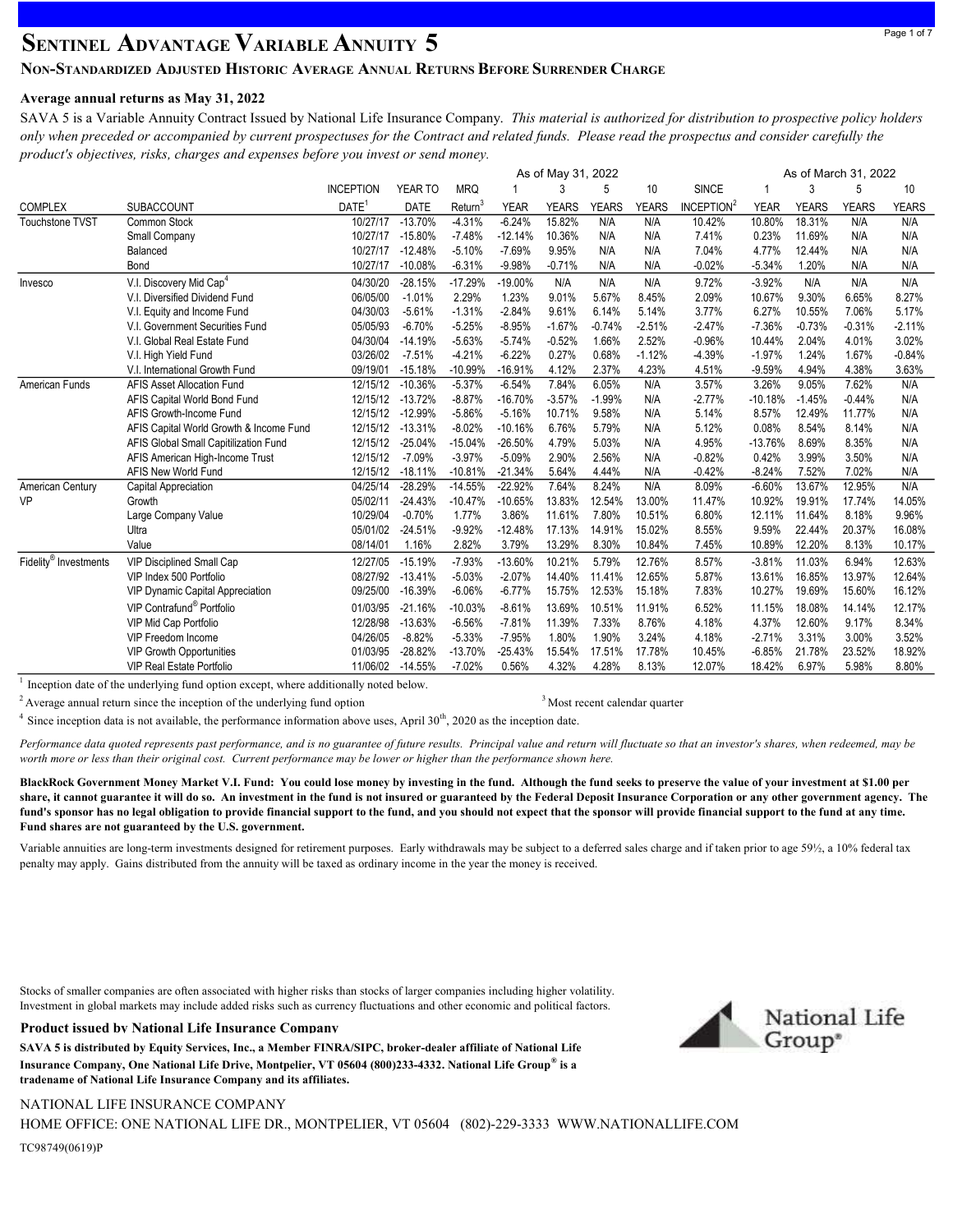# **SENTINEL ADVANTAGE VARIABLE ANNUITY 5**

### NON-STANDARDIZED ADJUSTED HISTORIC AVERAGE ANNUAL RETURNS BEFORE SURRENDER CHARGE

### Average annual returns as May 31, 2022

SAVA 5 is a Variable Annuity Contract Issued by National Life Insurance Company. This material is authorized for distribution to prospective policy holders only when preceded or accompanied by current prospectuses for the Contract and related funds. Please read the prospectus and consider carefully the product's objectives, risks, charges and expenses before you invest or send money.

|                                   |                                         | As of May 31, 2022<br>As of March 31, 2022 |             |            |             |              |              |              |                        |             |              |              |              |
|-----------------------------------|-----------------------------------------|--------------------------------------------|-------------|------------|-------------|--------------|--------------|--------------|------------------------|-------------|--------------|--------------|--------------|
|                                   |                                         | <b>INCEPTION</b>                           | YEAR TO     | <b>MRQ</b> |             | 3            | 5            | 10           | <b>SINCE</b>           |             | 3            | 5            | 10           |
| <b>COMPLEX</b>                    | <b>SUBACCOUNT</b>                       | DATE <sup>1</sup>                          | <b>DATE</b> | Return     | <b>YEAR</b> | <b>YEARS</b> | <b>YEARS</b> | <b>YEARS</b> | INCEPTION <sup>2</sup> | <b>YEAR</b> | <b>YEARS</b> | <b>YEARS</b> | <b>YEARS</b> |
| <b>Touchstone TVST</b>            | Common Stock                            | 10/27/17                                   | $-13.70%$   | $-4.31%$   | $-6.24%$    | 15.82%       | N/A          | N/A          | 10.42%                 | 10.80%      | 18.31%       | N/A          | N/A          |
|                                   | Small Company                           | 10/27/17                                   | $-15.80%$   | $-7.48%$   | $-12.14%$   | 10.36%       | N/A          | N/A          | 7.41%                  | 0.23%       | 11.69%       | N/A          | N/A          |
|                                   | Balanced                                | 10/27/17                                   | $-12.48%$   | $-5.10%$   | $-7.69%$    | 9.95%        | N/A          | N/A          | 7.04%                  | 4.77%       | 12.44%       | N/A          | N/A          |
|                                   | Bond                                    | 10/27/17                                   | $-10.08%$   | $-6.31%$   | $-9.98%$    | $-0.71%$     | N/A          | N/A          | $-0.02%$               | $-5.34%$    | 1.20%        | N/A          | N/A          |
| Invesco                           | V.I. Discovery Mid Cap <sup>4</sup>     | 04/30/20                                   | $-28.15%$   | $-17.29%$  | $-19.00%$   | N/A          | N/A          | N/A          | 9.72%                  | $-3.92%$    | N/A          | N/A          | N/A          |
|                                   | V.I. Diversified Dividend Fund          | 06/05/00                                   | $-1.01%$    | 2.29%      | 1.23%       | 9.01%        | 5.67%        | 8.45%        | 2.09%                  | 10.67%      | 9.30%        | 6.65%        | 8.27%        |
|                                   | V.I. Equity and Income Fund             | 04/30/03                                   | $-5.61%$    | $-1.31%$   | $-2.84%$    | 9.61%        | 6.14%        | 5.14%        | 3.77%                  | 6.27%       | 10.55%       | 7.06%        | 5.17%        |
|                                   | V.I. Government Securities Fund         | 05/05/93                                   | $-6.70%$    | $-5.25%$   | $-8.95%$    | $-1.67%$     | $-0.74%$     | $-2.51%$     | $-2.47%$               | $-7.36%$    | $-0.73%$     | $-0.31%$     | $-2.11%$     |
|                                   | V.I. Global Real Estate Fund            | 04/30/04                                   | $-14.19%$   | $-5.63%$   | $-5.74%$    | $-0.52%$     | 1.66%        | 2.52%        | $-0.96%$               | 10.44%      | 2.04%        | 4.01%        | 3.02%        |
|                                   | V.I. High Yield Fund                    | 03/26/02                                   | $-7.51%$    | $-4.21%$   | $-6.22%$    | 0.27%        | 0.68%        | $-1.12%$     | $-4.39%$               | $-1.97%$    | 1.24%        | 1.67%        | $-0.84%$     |
|                                   | V.I. International Growth Fund          | 09/19/01                                   | $-15.18%$   | $-10.99%$  | $-16.91%$   | 4.12%        | 2.37%        | 4.23%        | 4.51%                  | $-9.59%$    | 4.94%        | 4.38%        | 3.63%        |
| American Funds                    | <b>AFIS Asset Allocation Fund</b>       | 12/15/12                                   | $-10.36%$   | $-5.37%$   | $-6.54%$    | 7.84%        | 6.05%        | N/A          | 3.57%                  | 3.26%       | 9.05%        | 7.62%        | N/A          |
|                                   | AFIS Capital World Bond Fund            | 12/15/12                                   | $-13.72%$   | $-8.87%$   | $-16.70%$   | $-3.57%$     | $-1.99%$     | N/A          | $-2.77%$               | $-10.18%$   | $-1.45%$     | $-0.44%$     | N/A          |
|                                   | AFIS Growth-Income Fund                 | 12/15/12                                   | $-12.99%$   | $-5.86%$   | $-5.16%$    | 10.71%       | 9.58%        | N/A          | 5.14%                  | 8.57%       | 12.49%       | 11.77%       | N/A          |
|                                   | AFIS Capital World Growth & Income Fund | 12/15/12                                   | $-13.31%$   | $-8.02%$   | $-10.16%$   | 6.76%        | 5.79%        | N/A          | 5.12%                  | 0.08%       | 8.54%        | 8.14%        | N/A          |
|                                   | AFIS Global Small Capitilization Fund   | 12/15/12                                   | $-25.04%$   | $-15.04%$  | $-26.50%$   | 4.79%        | 5.03%        | N/A          | 4.95%                  | $-13.76%$   | 8.69%        | 8.35%        | N/A          |
|                                   | AFIS American High-Income Trust         | 12/15/12                                   | $-7.09%$    | $-3.97%$   | $-5.09%$    | 2.90%        | 2.56%        | N/A          | $-0.82%$               | 0.42%       | 3.99%        | 3.50%        | N/A          |
|                                   | AFIS New World Fund                     | 12/15/12                                   | $-18.11%$   | $-10.81%$  | $-21.34%$   | 5.64%        | 4.44%        | N/A          | $-0.42%$               | $-8.24%$    | 7.52%        | 7.02%        | N/A          |
| American Century                  | Capital Appreciation                    | 04/25/14                                   | $-28.29%$   | $-14.55%$  | $-22.92%$   | 7.64%        | 8.24%        | N/A          | 8.09%                  | $-6.60%$    | 13.67%       | 12.95%       | N/A          |
| VP                                | Growth                                  | 05/02/11                                   | $-24.43%$   | $-10.47%$  | $-10.65%$   | 13.83%       | 12.54%       | 13.00%       | 11.47%                 | 10.92%      | 19.91%       | 17.74%       | 14.05%       |
|                                   | Large Company Value                     | 10/29/04                                   | $-0.70%$    | 1.77%      | 3.86%       | 11.61%       | 7.80%        | 10.51%       | 6.80%                  | 12.11%      | 11.64%       | 8.18%        | 9.96%        |
|                                   | Ultra                                   | 05/01/02                                   | $-24.51%$   | $-9.92%$   | $-12.48%$   | 17.13%       | 14.91%       | 15.02%       | 8.55%                  | 9.59%       | 22.44%       | 20.37%       | 16.08%       |
|                                   | Value                                   | 08/14/01                                   | 1.16%       | 2.82%      | 3.79%       | 13.29%       | 8.30%        | 10.84%       | 7.45%                  | 10.89%      | 12.20%       | 8.13%        | 10.17%       |
| Fidelity <sup>®</sup> Investments | <b>VIP Disciplined Small Cap</b>        | 12/27/05                                   | $-15.19%$   | $-7.93%$   | $-13.60%$   | 10.21%       | 5.79%        | 12.76%       | 8.57%                  | $-3.81%$    | 11.03%       | 6.94%        | 12.63%       |
|                                   | VIP Index 500 Portfolio                 | 08/27/92                                   | $-13.41%$   | $-5.03%$   | $-2.07%$    | 14.40%       | 11.41%       | 12.65%       | 5.87%                  | 13.61%      | 16.85%       | 13.97%       | 12.64%       |
|                                   | VIP Dynamic Capital Appreciation        | 09/25/00                                   | $-16.39%$   | $-6.06%$   | $-6.77%$    | 15.75%       | 12.53%       | 15.18%       | 7.83%                  | 10.27%      | 19.69%       | 15.60%       | 16.12%       |
|                                   | VIP Contrafund <sup>®</sup> Portfolio   | 01/03/95                                   | $-21.16%$   | $-10.03%$  | $-8.61%$    | 13.69%       | 10.51%       | 11.91%       | 6.52%                  | 11.15%      | 18.08%       | 14.14%       | 12.17%       |
|                                   | VIP Mid Cap Portfolio                   | 12/28/98                                   | $-13.63%$   | $-6.56%$   | $-7.81%$    | 11.39%       | 7.33%        | 8.76%        | 4.18%                  | 4.37%       | 12.60%       | 9.17%        | 8.34%        |
|                                   | VIP Freedom Income                      | 04/26/05                                   | $-8.82%$    | $-5.33%$   | $-7.95%$    | 1.80%        | 1.90%        | 3.24%        | 4.18%                  | $-2.71%$    | 3.31%        | 3.00%        | 3.52%        |
|                                   | <b>VIP Growth Opportunities</b>         | 01/03/95                                   | $-28.82%$   | $-13.70%$  | $-25.43%$   | 15.54%       | 17.51%       | 17.78%       | 10.45%                 | $-6.85%$    | 21.78%       | 23.52%       | 18.92%       |
|                                   | <b>VIP Real Estate Portfolio</b>        | 11/06/02                                   | $-14.55%$   | $-7.02%$   | 0.56%       | 4.32%        | 4.28%        | 8.13%        | 12.07%                 | 18.42%      | 6.97%        | 5.98%        | 8.80%        |

 $1$  Inception date of the underlying fund option except, where additionally noted below.

<sup>2</sup> Average annual return since the inception of the underlying fund option 3Most recent calendar quarter

<sup>4</sup> Since inception data is not available, the performance information above uses, April  $30<sup>th</sup>$ , 2020 as the inception date.

Performance data quoted represents past performance, and is no guarantee of future results. Principal value and return will fluctuate so that an investor's shares, when redeemed, may be worth more or less than their original cost. Current performance may be lower or higher than the performance shown here.

BlackRock Government Money Market V.I. Fund: You could lose money by investing in the fund. Although the fund seeks to preserve the value of your investment at \$1.00 per share, it cannot guarantee it will do so. An investment in the fund is not insured or guaranteed by the Federal Deposit Insurance Corporation or any other government agency. The fund's sponsor has no legal obligation to provide financial support to the fund, and you should not expect that the sponsor will provide financial support to the fund at any time. Fund shares are not guaranteed by the U.S. government.

Variable annuities are long-term investments designed for retirement purposes. Early withdrawals may be subject to a deferred sales charge and if taken prior to age 59½, a 10% federal tax penalty may apply. Gains distributed from the annuity will be taxed as ordinary income in the year the money is received.

Stocks of smaller companies are often associated with higher risks than stocks of larger companies including higher volatility. Investment in global markets may include added risks such as currency fluctuations and other economic and political factors.

#### Product issued by National Life Insurance Company

SAVA 5 is distributed by Equity Services, Inc., a Member FINRA/SIPC, broker-dealer affiliate of National Life Insurance Company, One National Life Drive, Montpelier, VT 05604 (800)233-4332. National Life Group® is a tradename of National Life Insurance Company and its affiliates.

#### NATIONAL LIFE INSURANCE COMPANY

TC98749(0619)P HOME OFFICE: ONE NATIONAL LIFE DR., MONTPELIER, VT 05604 (802)-229-3333 WWW.NATIONALLIFE.COM

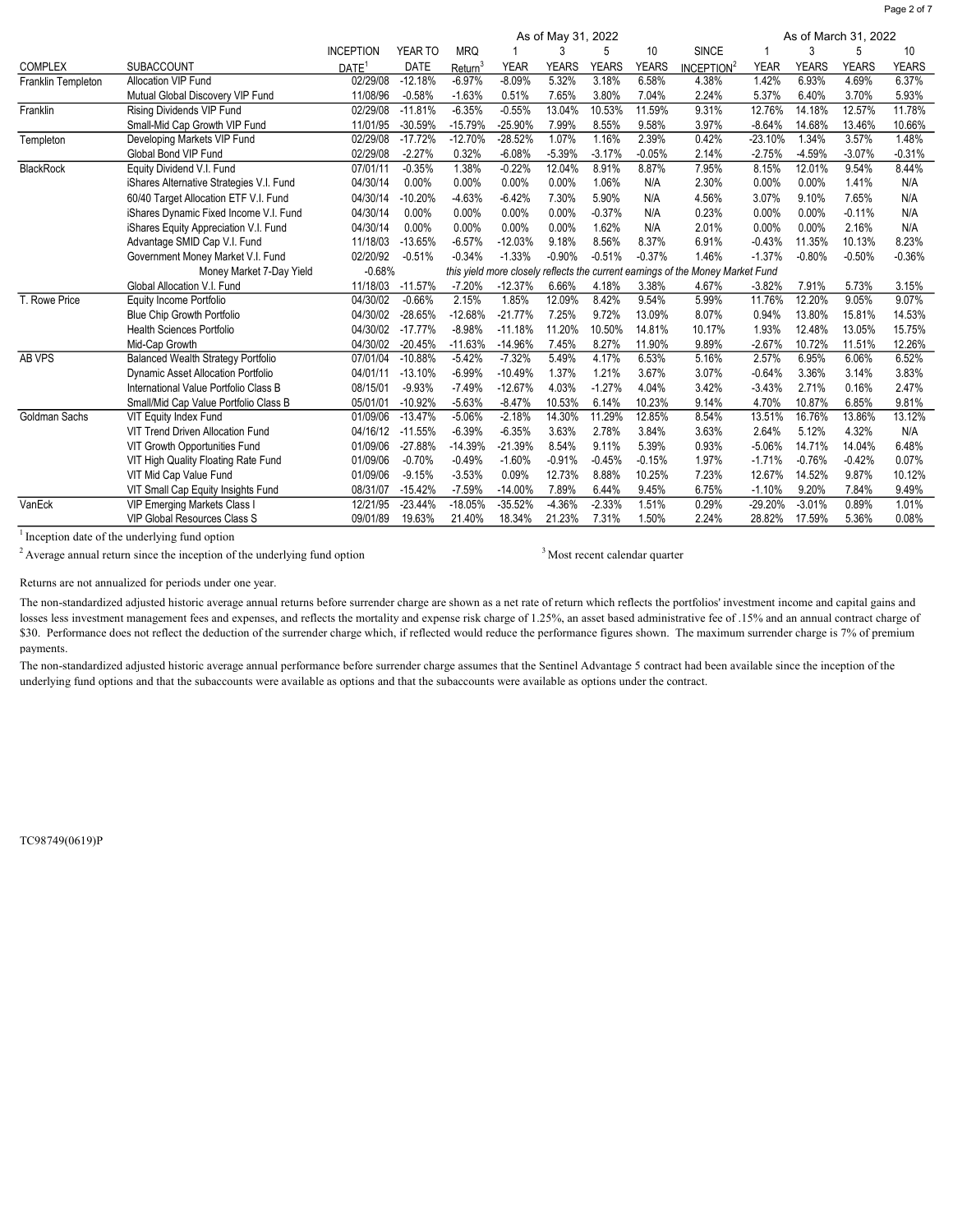|                    | As of May 31, 2022                        |                   |             |                     |             |              |              |              |                                                                                |             |              | As of March 31, 2022 |              |  |
|--------------------|-------------------------------------------|-------------------|-------------|---------------------|-------------|--------------|--------------|--------------|--------------------------------------------------------------------------------|-------------|--------------|----------------------|--------------|--|
|                    |                                           | <b>INCEPTION</b>  | YEAR TO     | <b>MRQ</b>          |             | 3            | 5            | 10           | <b>SINCE</b>                                                                   |             | 3            |                      | 10           |  |
| <b>COMPLEX</b>     | <b>SUBACCOUNT</b>                         | DATE <sup>1</sup> | <b>DATE</b> | Return <sup>3</sup> | <b>YEAR</b> | <b>YEARS</b> | <b>YEARS</b> | <b>YEARS</b> | INCEPTION <sup>2</sup>                                                         | <b>YEAR</b> | <b>YEARS</b> | <b>YEARS</b>         | <b>YEARS</b> |  |
| Franklin Templeton | <b>Allocation VIP Fund</b>                | 02/29/08          | $-12.18%$   | $-6.97%$            | $-8.09%$    | 5.32%        | 3.18%        | 6.58%        | 4.38%                                                                          | 1.42%       | 6.93%        | 4.69%                | 6.37%        |  |
|                    | Mutual Global Discovery VIP Fund          | 11/08/96          | $-0.58%$    | $-1.63%$            | 0.51%       | 7.65%        | 3.80%        | 7.04%        | 2.24%                                                                          | 5.37%       | 6.40%        | 3.70%                | 5.93%        |  |
| Franklin           | Rising Dividends VIP Fund                 | 02/29/08          | $-11.81%$   | $-6.35%$            | $-0.55%$    | 13.04%       | 10.53%       | 11.59%       | 9.31%                                                                          | 12.76%      | 14.18%       | 12.57%               | 11.78%       |  |
|                    | Small-Mid Cap Growth VIP Fund             | 11/01/95          | $-30.59%$   | $-15.79%$           | $-25.90%$   | 7.99%        | 8.55%        | 9.58%        | 3.97%                                                                          | $-8.64%$    | 14.68%       | 13.46%               | 10.66%       |  |
| Templeton          | Developing Markets VIP Fund               | 02/29/08          | $-17.72%$   | $-12.70%$           | $-28.52%$   | $1.07\%$     | 1.16%        | 2.39%        | 0.42%                                                                          | $-23.10%$   | 1.34%        | 3.57%                | 1.48%        |  |
|                    | Global Bond VIP Fund                      | 02/29/08          | $-2.27%$    | 0.32%               | $-6.08%$    | $-5.39%$     | $-3.17%$     | $-0.05%$     | 2.14%                                                                          | $-2.75%$    | $-4.59%$     | $-3.07%$             | $-0.31%$     |  |
| <b>BlackRock</b>   | Equity Dividend V.I. Fund                 | 07/01/11          | $-0.35%$    | 1.38%               | $-0.22%$    | 12.04%       | 8.91%        | 8.87%        | 7.95%                                                                          | 8.15%       | 12.01%       | 9.54%                | 8.44%        |  |
|                    | iShares Alternative Strategies V.I. Fund  | 04/30/14          | 0.00%       | 0.00%               | 0.00%       | 0.00%        | 1.06%        | N/A          | 2.30%                                                                          | 0.00%       | 0.00%        | 1.41%                | N/A          |  |
|                    | 60/40 Target Allocation ETF V.I. Fund     | 04/30/14          | $-10.20%$   | $-4.63%$            | $-6.42%$    | 7.30%        | 5.90%        | N/A          | 4.56%                                                                          | 3.07%       | 9.10%        | 7.65%                | N/A          |  |
|                    | iShares Dynamic Fixed Income V.I. Fund    | 04/30/14          | 0.00%       | 0.00%               | 0.00%       | 0.00%        | $-0.37%$     | N/A          | 0.23%                                                                          | 0.00%       | 0.00%        | $-0.11%$             | N/A          |  |
|                    | iShares Equity Appreciation V.I. Fund     | 04/30/14          | 0.00%       | 0.00%               | 0.00%       | 0.00%        | 1.62%        | N/A          | 2.01%                                                                          | 0.00%       | 0.00%        | 2.16%                | N/A          |  |
|                    | Advantage SMID Cap V.I. Fund              | 11/18/03          | $-13.65%$   | $-6.57%$            | $-12.03%$   | 9.18%        | 8.56%        | 8.37%        | 6.91%                                                                          | $-0.43%$    | 11.35%       | 10.13%               | 8.23%        |  |
|                    | Government Money Market V.I. Fund         | 02/20/92          | $-0.51%$    | $-0.34%$            | $-1.33%$    | $-0.90%$     | $-0.51%$     | $-0.37%$     | 1.46%                                                                          | $-1.37%$    | $-0.80%$     | $-0.50%$             | $-0.36%$     |  |
|                    | Money Market 7-Day Yield                  | $-0.68%$          |             |                     |             |              |              |              | this yield more closely reflects the current earnings of the Money Market Fund |             |              |                      |              |  |
|                    | Global Allocation V.I. Fund               | 11/18/03          | $-11.57%$   | $-7.20%$            | $-12.37%$   | 6.66%        | 4.18%        | 3.38%        | 4.67%                                                                          | $-3.82%$    | 7.91%        | 5.73%                | 3.15%        |  |
| T. Rowe Price      | Equity Income Portfolio                   | 04/30/02          | $-0.66%$    | 2.15%               | 1.85%       | 12.09%       | 8.42%        | 9.54%        | 5.99%                                                                          | 11.76%      | 12.20%       | 9.05%                | 9.07%        |  |
|                    | Blue Chip Growth Portfolio                | 04/30/02          | $-28.65%$   | $-12.68%$           | $-21.77%$   | 7.25%        | 9.72%        | 13.09%       | 8.07%                                                                          | 0.94%       | 13.80%       | 15.81%               | 14.53%       |  |
|                    | <b>Health Sciences Portfolio</b>          | 04/30/02          | $-17.77%$   | $-8.98%$            | $-11.18%$   | 11.20%       | 10.50%       | 14.81%       | 10.17%                                                                         | 1.93%       | 12.48%       | 13.05%               | 15.75%       |  |
|                    | Mid-Cap Growth                            | 04/30/02          | $-20.45%$   | $-11.63%$           | $-14.96%$   | 7.45%        | 8.27%        | 11.90%       | 9.89%                                                                          | $-2.67%$    | 10.72%       | 11.51%               | 12.26%       |  |
| AB VPS             | <b>Balanced Wealth Strategy Portfolio</b> | 07/01/04          | $-10.88%$   | $-5.42%$            | $-7.32%$    | 5.49%        | 4.17%        | 6.53%        | 5.16%                                                                          | 2.57%       | 6.95%        | 6.06%                | 6.52%        |  |
|                    | Dynamic Asset Allocation Portfolio        | 04/01/11          | $-13.10%$   | $-6.99%$            | $-10.49%$   | 1.37%        | 1.21%        | 3.67%        | 3.07%                                                                          | $-0.64%$    | 3.36%        | 3.14%                | 3.83%        |  |
|                    | International Value Portfolio Class B     | 08/15/01          | $-9.93%$    | $-7.49%$            | $-12.67%$   | 4.03%        | $-1.27%$     | 4.04%        | 3.42%                                                                          | $-3.43%$    | 2.71%        | 0.16%                | 2.47%        |  |
|                    | Small/Mid Cap Value Portfolio Class B     | 05/01/01          | $-10.92%$   | $-5.63%$            | $-8.47%$    | 10.53%       | 6.14%        | 10.23%       | 9.14%                                                                          | 4.70%       | 10.87%       | 6.85%                | 9.81%        |  |
| Goldman Sachs      | VIT Equity Index Fund                     | 01/09/06          | $-13.47%$   | $-5.06%$            | $-2.18%$    | 14.30%       | 11.29%       | 12.85%       | 8.54%                                                                          | 13.51%      | 16.76%       | 13.86%               | 13.12%       |  |
|                    | VIT Trend Driven Allocation Fund          | 04/16/12          | $-11.55%$   | $-6.39%$            | $-6.35%$    | 3.63%        | 2.78%        | 3.84%        | 3.63%                                                                          | 2.64%       | 5.12%        | 4.32%                | N/A          |  |
|                    | VIT Growth Opportunities Fund             | 01/09/06          | $-27.88%$   | $-14.39%$           | $-21.39%$   | 8.54%        | 9.11%        | 5.39%        | 0.93%                                                                          | $-5.06%$    | 14.71%       | 14.04%               | 6.48%        |  |
|                    | VIT High Quality Floating Rate Fund       | 01/09/06          | $-0.70%$    | $-0.49%$            | $-1.60%$    | $-0.91%$     | $-0.45%$     | $-0.15%$     | 1.97%                                                                          | $-1.71%$    | $-0.76%$     | $-0.42%$             | 0.07%        |  |
|                    | VIT Mid Cap Value Fund                    | 01/09/06          | $-9.15%$    | $-3.53%$            | 0.09%       | 12.73%       | 8.88%        | 10.25%       | 7.23%                                                                          | 12.67%      | 14.52%       | 9.87%                | 10.12%       |  |
|                    | VIT Small Cap Equity Insights Fund        | 08/31/07          | $-15.42%$   | $-7.59%$            | $-14.00%$   | 7.89%        | 6.44%        | 9.45%        | 6.75%                                                                          | $-1.10%$    | 9.20%        | 7.84%                | 9.49%        |  |
| VanEck             | <b>VIP Emerging Markets Class I</b>       | 12/21/95          | $-23.44%$   | $-18.05%$           | $-35.52%$   | $-4.36%$     | $-2.33%$     | 1.51%        | 0.29%                                                                          | $-29.20%$   | $-3.01%$     | 0.89%                | 1.01%        |  |
|                    | VIP Global Resources Class S              | 09/01/89          | 19.63%      | 21.40%              | 18.34%      | 21.23%       | 7.31%        | 1.50%        | 2.24%                                                                          | 28.82%      | 17.59%       | 5.36%                | 0.08%        |  |

<sup>1</sup> Inception date of the underlying fund option

 $2$  Average annual return since the inception of the underlying fund option  $3$ Most recent calendar quarter

Page 2 of 7

Returns are not annualized for periods under one year.

The non-standardized adjusted historic average annual returns before surrender charge are shown as a net rate of return which reflects the portfolios' investment income and capital gains and losses less investment management fees and expenses, and reflects the mortality and expense risk charge of 1.25%, an asset based administrative fee of .15% and an annual contract charge of \$30. Performance does not reflect the deduction of the surrender charge which, if reflected would reduce the performance figures shown. The maximum surrender charge is 7% of premium payments.

The non-standardized adjusted historic average annual performance before surrender charge assumes that the Sentinel Advantage 5 contract had been available since the inception of the underlying fund options and that the subaccounts were available as options and that the subaccounts were available as options under the contract.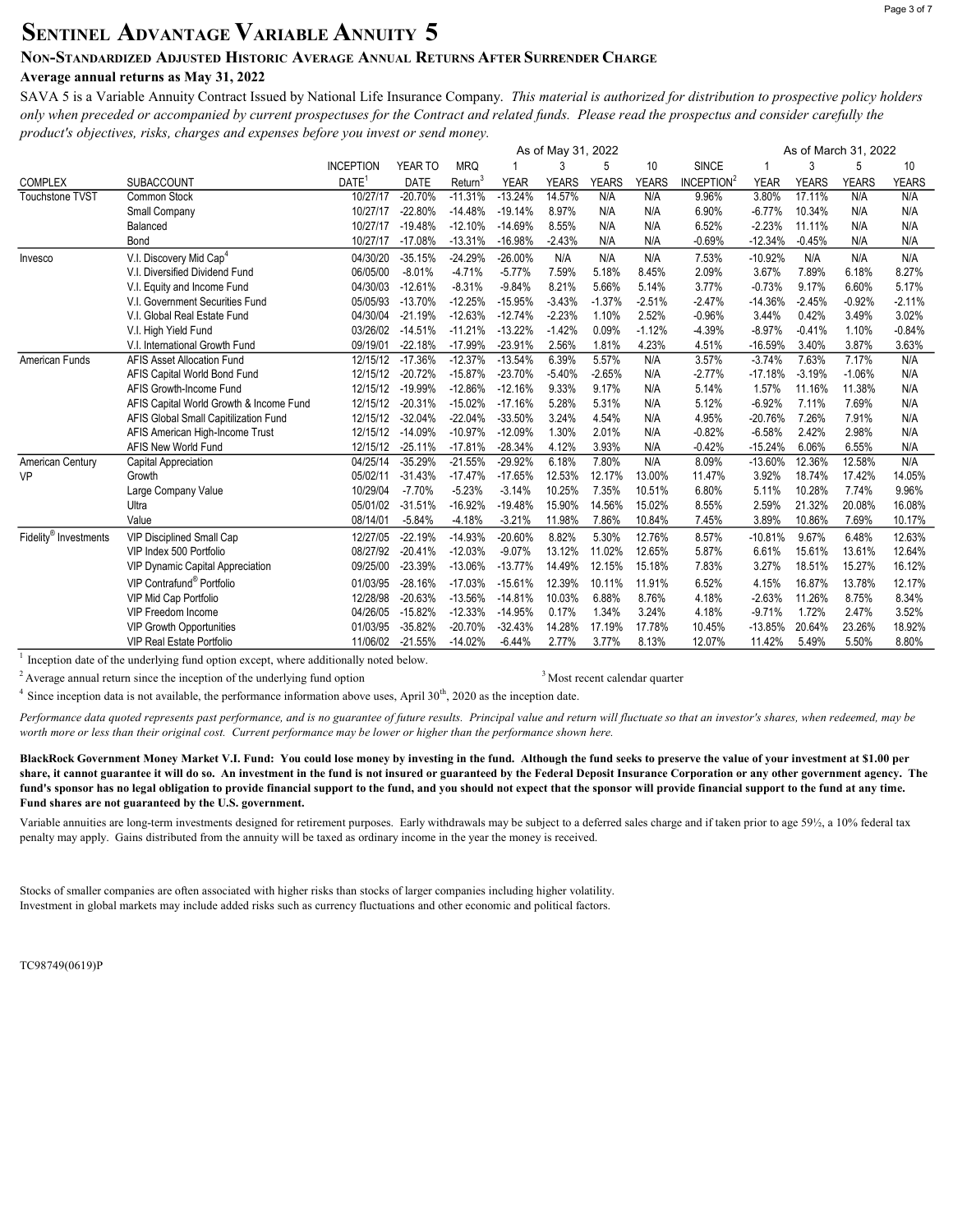# SENTINEL ADVANTAGE VARIABLE ANNUITY 5

### NON-STANDARDIZED ADJUSTED HISTORIC AVERAGE ANNUAL RETURNS AFTER SURRENDER CHARGE

### Average annual returns as May 31, 2022

SAVA 5 is a Variable Annuity Contract Issued by National Life Insurance Company. This material is authorized for distribution to prospective policy holders only when preceded or accompanied by current prospectuses for the Contract and related funds. Please read the prospectus and consider carefully the product's objectives, risks, charges and expenses before you invest or send money.

| <b>INCEPTION</b><br>YEAR TO<br><b>MRQ</b><br>3<br>5<br>10<br><b>SINCE</b><br>3<br>5<br>10<br>INCEPTION <sup>2</sup><br><b>COMPLEX</b><br><b>SUBACCOUNT</b><br>DATE <sup>1</sup><br><b>DATE</b><br>Return <sup>3</sup><br><b>YEAR</b><br><b>YEARS</b><br><b>YEARS</b><br>YEARS<br><b>YEARS</b><br><b>YEARS</b><br><b>YEARS</b><br><b>YEAR</b><br>$-20.70%$<br><b>Touchstone TVST</b><br>Common Stock<br>10/27/17<br>$-11.31%$<br>$-13.24%$<br>14.57%<br>N/A<br>N/A<br>9.96%<br>3.80%<br>17.11%<br>N/A<br>N/A<br>$-22.80%$<br>8.97%<br>N/A<br>Small Company<br>10/27/17<br>$-14.48%$<br>$-19.14%$<br>N/A<br>6.90%<br>$-6.77%$<br>10.34%<br>N/A<br>N/A<br>$-19.48%$<br>$-12.10%$<br>$-14.69%$<br>8.55%<br>N/A<br>N/A<br>6.52%<br>$-2.23%$<br>11.11%<br>N/A<br>Balanced<br>10/27/17<br>N/A<br>$-17.08%$<br>$-13.31%$<br>$-2.43%$<br>N/A<br>$-0.69%$<br>$-12.34%$<br>N/A<br>Bond<br>10/27/17<br>$-16.98%$<br>N/A<br>$-0.45%$<br>N/A<br>V.I. Discovery Mid Cap <sup>4</sup><br>04/30/20<br>$-35.15%$<br>$-24.29%$<br>$-26.00%$<br>N/A<br>N/A<br>N/A<br>$-10.92%$<br>N/A<br>N/A<br>N/A<br>7.53%<br>Invesco<br>$-8.01%$<br>7.59%<br>5.18%<br>8.45%<br>2.09%<br>8.27%<br>V.I. Diversified Dividend Fund<br>06/05/00<br>$-4.71%$<br>$-5.77%$<br>3.67%<br>7.89%<br>6.18%<br>8.21%<br>5.66%<br>$-12.61%$<br>$-8.31%$<br>$-9.84%$<br>5.14%<br>$-0.73%$<br>9.17%<br>6.60%<br>5.17%<br>04/30/03<br>3.77%<br>V.I. Equity and Income Fund<br>V.I. Government Securities Fund<br>05/05/93<br>$-13.70%$<br>$-12.25%$<br>$-15.95%$<br>$-3.43%$<br>$-1.37%$<br>$-2.51%$<br>$-2.47%$<br>$-14.36%$<br>$-2.45%$<br>$-0.92%$<br>$-2.11%$<br>$-2.23%$<br>V.I. Global Real Estate Fund<br>04/30/04<br>$-21.19%$<br>$-12.63%$<br>$-12.74%$<br>1.10%<br>2.52%<br>$-0.96%$<br>3.44%<br>0.42%<br>3.49%<br>3.02%<br>$-11.21%$<br>$-13.22%$<br>$-1.42%$<br>0.09%<br>$-1.12%$<br>V.I. High Yield Fund<br>03/26/02<br>$-14.51%$<br>$-4.39%$<br>$-8.97%$<br>$-0.41%$<br>1.10%<br>$-0.84%$<br>$-22.18%$<br>$-17.99%$<br>$-23.91%$<br>2.56%<br>1.81%<br>4.23%<br>3.87%<br>V.I. International Growth Fund<br>09/19/01<br>4.51%<br>$-16.59%$<br>3.40%<br>3.63%<br><b>AFIS Asset Allocation Fund</b><br>$-17.36%$<br>$-12.37%$<br>$-13.54%$<br>6.39%<br>5.57%<br>N/A<br>N/A<br>12/15/12<br>3.57%<br>$-3.74%$<br>7.63%<br>7.17%<br>American Funds<br>12/15/12<br>$-20.72%$<br>$-15.87%$<br>$-23.70%$<br>$-5.40%$<br>$-2.65%$<br>N/A<br>$-2.77%$<br>$-17.18%$<br>$-3.19%$<br>N/A<br>AFIS Capital World Bond Fund<br>$-1.06%$<br>$-19.99%$<br>$-12.86%$<br>$-12.16%$<br>9.33%<br>9.17%<br>AFIS Growth-Income Fund<br>12/15/12<br>N/A<br>5.14%<br>1.57%<br>11.16%<br>11.38%<br>N/A<br>$-20.31%$<br>5.28%<br>5.31%<br>N/A<br>5.12%<br>$-6.92%$<br>AFIS Capital World Growth & Income Fund<br>12/15/12<br>$-15.02%$<br>$-17.16%$<br>7.11%<br>7.69%<br>N/A<br>$-32.04%$<br>$-22.04%$<br>$-33.50%$<br>3.24%<br>4.54%<br>N/A<br>4.95%<br>AFIS Global Small Capitilization Fund<br>12/15/12<br>$-20.76%$<br>7.26%<br>7.91%<br>N/A<br>N/A<br>$-14.09%$<br>$-10.97%$<br>$-12.09%$<br>1.30%<br>2.01%<br>$-0.82%$<br>$-6.58%$<br>2.42%<br>2.98%<br>N/A<br>AFIS American High-Income Trust<br>12/15/12<br>$-28.34%$<br>4.12%<br>3.93%<br>$-0.42%$<br>AFIS New World Fund<br>12/15/12<br>$-25.11%$<br>$-17.81%$<br>N/A<br>$-15.24%$<br>6.06%<br>6.55%<br>N/A<br>$-35.29%$<br>$-21.55%$<br>$-29.92%$<br>6.18%<br>N/A<br>8.09%<br>N/A<br>04/25/14<br>7.80%<br>$-13.60%$<br>12.36%<br>12.58%<br>American Century<br>Capital Appreciation<br>3.92%<br>05/02/11<br>$-31.43%$<br>$-17.47%$<br>$-17.65%$<br>12.53%<br>12.17%<br>13.00%<br>11.47%<br>18.74%<br>17.42%<br>VP<br>Growth<br>14.05%<br>$-5.23%$<br>10.25%<br>7.35%<br>10/29/04<br>$-7.70%$<br>$-3.14%$<br>10.51%<br>6.80%<br>5.11%<br>10.28%<br>7.74%<br>9.96%<br>Large Company Value<br>$-31.51%$<br>$-16.92%$<br>$-19.48%$<br>15.90%<br>14.56%<br>21.32%<br>05/01/02<br>15.02%<br>8.55%<br>2.59%<br>20.08%<br>16.08%<br>Ultra<br>Value<br>08/14/01<br>$-5.84%$<br>$-3.21%$<br>11.98%<br>7.86%<br>10.84%<br>7.45%<br>3.89%<br>10.17%<br>$-4.18%$<br>10.86%<br>7.69%<br>Fidelity <sup>®</sup> Investments<br>$-22.19%$<br>$-14.93%$<br>$-20.60%$<br>8.82%<br>5.30%<br>12.76%<br>9.67%<br>12.63%<br><b>VIP Disciplined Small Cap</b><br>12/27/05<br>8.57%<br>$-10.81%$<br>6.48%<br>$-20.41%$<br>11.02%<br>VIP Index 500 Portfolio<br>08/27/92<br>$-12.03%$<br>$-9.07%$<br>13.12%<br>12.65%<br>5.87%<br>6.61%<br>15.61%<br>13.61%<br>12.64%<br>$-23.39%$<br>$-13.06%$<br>$-13.77%$<br>VIP Dynamic Capital Appreciation<br>09/25/00<br>14.49%<br>12.15%<br>15.18%<br>7.83%<br>3.27%<br>18.51%<br>15.27%<br>16.12%<br>VIP Contrafund <sup>®</sup> Portfolio<br>$-28.16%$<br>$-17.03%$<br>$-15.61%$<br>12.39%<br>10.11%<br>11.91%<br>6.52%<br>4.15%<br>16.87%<br>12.17%<br>01/03/95<br>13.78%<br>$-20.63%$<br>10.03%<br>6.88%<br>8.76%<br>4.18%<br>8.34%<br>VIP Mid Cap Portfolio<br>12/28/98<br>$-13.56%$<br>$-14.81%$<br>$-2.63%$<br>11.26%<br>8.75%<br>0.17%<br>1.34%<br>VIP Freedom Income<br>04/26/05<br>$-15.82%$<br>$-12.33%$<br>$-14.95%$<br>3.24%<br>4.18%<br>$-9.71%$<br>1.72%<br>2.47%<br>3.52%<br>$-35.82%$<br>$-20.70%$<br>$-32.43%$<br>14.28%<br>17.19%<br>17.78%<br>20.64%<br>23.26%<br>18.92%<br><b>VIP Growth Opportunities</b><br>01/03/95<br>10.45%<br>$-13.85%$<br>8.13%<br><b>VIP Real Estate Portfolio</b><br>11/06/02<br>$-21.55%$<br>$-14.02%$<br>$-6.44%$<br>2.77%<br>3.77%<br>12.07%<br>11.42%<br>5.49%<br>5.50%<br>8.80% |  | As of May 31, 2022<br>As of March 31, 2022 |  |  |  |  |  |  |  |  |  |  |  |
|-------------------------------------------------------------------------------------------------------------------------------------------------------------------------------------------------------------------------------------------------------------------------------------------------------------------------------------------------------------------------------------------------------------------------------------------------------------------------------------------------------------------------------------------------------------------------------------------------------------------------------------------------------------------------------------------------------------------------------------------------------------------------------------------------------------------------------------------------------------------------------------------------------------------------------------------------------------------------------------------------------------------------------------------------------------------------------------------------------------------------------------------------------------------------------------------------------------------------------------------------------------------------------------------------------------------------------------------------------------------------------------------------------------------------------------------------------------------------------------------------------------------------------------------------------------------------------------------------------------------------------------------------------------------------------------------------------------------------------------------------------------------------------------------------------------------------------------------------------------------------------------------------------------------------------------------------------------------------------------------------------------------------------------------------------------------------------------------------------------------------------------------------------------------------------------------------------------------------------------------------------------------------------------------------------------------------------------------------------------------------------------------------------------------------------------------------------------------------------------------------------------------------------------------------------------------------------------------------------------------------------------------------------------------------------------------------------------------------------------------------------------------------------------------------------------------------------------------------------------------------------------------------------------------------------------------------------------------------------------------------------------------------------------------------------------------------------------------------------------------------------------------------------------------------------------------------------------------------------------------------------------------------------------------------------------------------------------------------------------------------------------------------------------------------------------------------------------------------------------------------------------------------------------------------------------------------------------------------------------------------------------------------------------------------------------------------------------------------------------------------------------------------------------------------------------------------------------------------------------------------------------------------------------------------------------------------------------------------------------------------------------------------------------------------------------------------------------------------------------------------------------------------------------------------------------------------------------------------------------------------------------------------------------------------------------------------------------------------------------------------------------------------------------------------------------------------------------------------------------------------------------------------------------------------------------------------------------------------------------------------------------------------------------------------------------------------------------------------------------------------------------------------------------------------------------------------------------------------------------------------------------------------------------------------------------------------------------------------------------------------------------------------------------------------------------------------------------------------------------------------------------------------------------------------------------------------------------------------------------------------------------------------------------------------------------------------------------------------------------------------------------------------------------------------------------------|--|--------------------------------------------|--|--|--|--|--|--|--|--|--|--|--|
|                                                                                                                                                                                                                                                                                                                                                                                                                                                                                                                                                                                                                                                                                                                                                                                                                                                                                                                                                                                                                                                                                                                                                                                                                                                                                                                                                                                                                                                                                                                                                                                                                                                                                                                                                                                                                                                                                                                                                                                                                                                                                                                                                                                                                                                                                                                                                                                                                                                                                                                                                                                                                                                                                                                                                                                                                                                                                                                                                                                                                                                                                                                                                                                                                                                                                                                                                                                                                                                                                                                                                                                                                                                                                                                                                                                                                                                                                                                                                                                                                                                                                                                                                                                                                                                                                                                                                                                                                                                                                                                                                                                                                                                                                                                                                                                                                                                                                                                                                                                                                                                                                                                                                                                                                                                                                                                                                                                                                                           |  |                                            |  |  |  |  |  |  |  |  |  |  |  |
|                                                                                                                                                                                                                                                                                                                                                                                                                                                                                                                                                                                                                                                                                                                                                                                                                                                                                                                                                                                                                                                                                                                                                                                                                                                                                                                                                                                                                                                                                                                                                                                                                                                                                                                                                                                                                                                                                                                                                                                                                                                                                                                                                                                                                                                                                                                                                                                                                                                                                                                                                                                                                                                                                                                                                                                                                                                                                                                                                                                                                                                                                                                                                                                                                                                                                                                                                                                                                                                                                                                                                                                                                                                                                                                                                                                                                                                                                                                                                                                                                                                                                                                                                                                                                                                                                                                                                                                                                                                                                                                                                                                                                                                                                                                                                                                                                                                                                                                                                                                                                                                                                                                                                                                                                                                                                                                                                                                                                                           |  |                                            |  |  |  |  |  |  |  |  |  |  |  |
|                                                                                                                                                                                                                                                                                                                                                                                                                                                                                                                                                                                                                                                                                                                                                                                                                                                                                                                                                                                                                                                                                                                                                                                                                                                                                                                                                                                                                                                                                                                                                                                                                                                                                                                                                                                                                                                                                                                                                                                                                                                                                                                                                                                                                                                                                                                                                                                                                                                                                                                                                                                                                                                                                                                                                                                                                                                                                                                                                                                                                                                                                                                                                                                                                                                                                                                                                                                                                                                                                                                                                                                                                                                                                                                                                                                                                                                                                                                                                                                                                                                                                                                                                                                                                                                                                                                                                                                                                                                                                                                                                                                                                                                                                                                                                                                                                                                                                                                                                                                                                                                                                                                                                                                                                                                                                                                                                                                                                                           |  |                                            |  |  |  |  |  |  |  |  |  |  |  |
|                                                                                                                                                                                                                                                                                                                                                                                                                                                                                                                                                                                                                                                                                                                                                                                                                                                                                                                                                                                                                                                                                                                                                                                                                                                                                                                                                                                                                                                                                                                                                                                                                                                                                                                                                                                                                                                                                                                                                                                                                                                                                                                                                                                                                                                                                                                                                                                                                                                                                                                                                                                                                                                                                                                                                                                                                                                                                                                                                                                                                                                                                                                                                                                                                                                                                                                                                                                                                                                                                                                                                                                                                                                                                                                                                                                                                                                                                                                                                                                                                                                                                                                                                                                                                                                                                                                                                                                                                                                                                                                                                                                                                                                                                                                                                                                                                                                                                                                                                                                                                                                                                                                                                                                                                                                                                                                                                                                                                                           |  |                                            |  |  |  |  |  |  |  |  |  |  |  |
|                                                                                                                                                                                                                                                                                                                                                                                                                                                                                                                                                                                                                                                                                                                                                                                                                                                                                                                                                                                                                                                                                                                                                                                                                                                                                                                                                                                                                                                                                                                                                                                                                                                                                                                                                                                                                                                                                                                                                                                                                                                                                                                                                                                                                                                                                                                                                                                                                                                                                                                                                                                                                                                                                                                                                                                                                                                                                                                                                                                                                                                                                                                                                                                                                                                                                                                                                                                                                                                                                                                                                                                                                                                                                                                                                                                                                                                                                                                                                                                                                                                                                                                                                                                                                                                                                                                                                                                                                                                                                                                                                                                                                                                                                                                                                                                                                                                                                                                                                                                                                                                                                                                                                                                                                                                                                                                                                                                                                                           |  |                                            |  |  |  |  |  |  |  |  |  |  |  |
|                                                                                                                                                                                                                                                                                                                                                                                                                                                                                                                                                                                                                                                                                                                                                                                                                                                                                                                                                                                                                                                                                                                                                                                                                                                                                                                                                                                                                                                                                                                                                                                                                                                                                                                                                                                                                                                                                                                                                                                                                                                                                                                                                                                                                                                                                                                                                                                                                                                                                                                                                                                                                                                                                                                                                                                                                                                                                                                                                                                                                                                                                                                                                                                                                                                                                                                                                                                                                                                                                                                                                                                                                                                                                                                                                                                                                                                                                                                                                                                                                                                                                                                                                                                                                                                                                                                                                                                                                                                                                                                                                                                                                                                                                                                                                                                                                                                                                                                                                                                                                                                                                                                                                                                                                                                                                                                                                                                                                                           |  |                                            |  |  |  |  |  |  |  |  |  |  |  |
|                                                                                                                                                                                                                                                                                                                                                                                                                                                                                                                                                                                                                                                                                                                                                                                                                                                                                                                                                                                                                                                                                                                                                                                                                                                                                                                                                                                                                                                                                                                                                                                                                                                                                                                                                                                                                                                                                                                                                                                                                                                                                                                                                                                                                                                                                                                                                                                                                                                                                                                                                                                                                                                                                                                                                                                                                                                                                                                                                                                                                                                                                                                                                                                                                                                                                                                                                                                                                                                                                                                                                                                                                                                                                                                                                                                                                                                                                                                                                                                                                                                                                                                                                                                                                                                                                                                                                                                                                                                                                                                                                                                                                                                                                                                                                                                                                                                                                                                                                                                                                                                                                                                                                                                                                                                                                                                                                                                                                                           |  |                                            |  |  |  |  |  |  |  |  |  |  |  |
|                                                                                                                                                                                                                                                                                                                                                                                                                                                                                                                                                                                                                                                                                                                                                                                                                                                                                                                                                                                                                                                                                                                                                                                                                                                                                                                                                                                                                                                                                                                                                                                                                                                                                                                                                                                                                                                                                                                                                                                                                                                                                                                                                                                                                                                                                                                                                                                                                                                                                                                                                                                                                                                                                                                                                                                                                                                                                                                                                                                                                                                                                                                                                                                                                                                                                                                                                                                                                                                                                                                                                                                                                                                                                                                                                                                                                                                                                                                                                                                                                                                                                                                                                                                                                                                                                                                                                                                                                                                                                                                                                                                                                                                                                                                                                                                                                                                                                                                                                                                                                                                                                                                                                                                                                                                                                                                                                                                                                                           |  |                                            |  |  |  |  |  |  |  |  |  |  |  |
|                                                                                                                                                                                                                                                                                                                                                                                                                                                                                                                                                                                                                                                                                                                                                                                                                                                                                                                                                                                                                                                                                                                                                                                                                                                                                                                                                                                                                                                                                                                                                                                                                                                                                                                                                                                                                                                                                                                                                                                                                                                                                                                                                                                                                                                                                                                                                                                                                                                                                                                                                                                                                                                                                                                                                                                                                                                                                                                                                                                                                                                                                                                                                                                                                                                                                                                                                                                                                                                                                                                                                                                                                                                                                                                                                                                                                                                                                                                                                                                                                                                                                                                                                                                                                                                                                                                                                                                                                                                                                                                                                                                                                                                                                                                                                                                                                                                                                                                                                                                                                                                                                                                                                                                                                                                                                                                                                                                                                                           |  |                                            |  |  |  |  |  |  |  |  |  |  |  |
|                                                                                                                                                                                                                                                                                                                                                                                                                                                                                                                                                                                                                                                                                                                                                                                                                                                                                                                                                                                                                                                                                                                                                                                                                                                                                                                                                                                                                                                                                                                                                                                                                                                                                                                                                                                                                                                                                                                                                                                                                                                                                                                                                                                                                                                                                                                                                                                                                                                                                                                                                                                                                                                                                                                                                                                                                                                                                                                                                                                                                                                                                                                                                                                                                                                                                                                                                                                                                                                                                                                                                                                                                                                                                                                                                                                                                                                                                                                                                                                                                                                                                                                                                                                                                                                                                                                                                                                                                                                                                                                                                                                                                                                                                                                                                                                                                                                                                                                                                                                                                                                                                                                                                                                                                                                                                                                                                                                                                                           |  |                                            |  |  |  |  |  |  |  |  |  |  |  |
|                                                                                                                                                                                                                                                                                                                                                                                                                                                                                                                                                                                                                                                                                                                                                                                                                                                                                                                                                                                                                                                                                                                                                                                                                                                                                                                                                                                                                                                                                                                                                                                                                                                                                                                                                                                                                                                                                                                                                                                                                                                                                                                                                                                                                                                                                                                                                                                                                                                                                                                                                                                                                                                                                                                                                                                                                                                                                                                                                                                                                                                                                                                                                                                                                                                                                                                                                                                                                                                                                                                                                                                                                                                                                                                                                                                                                                                                                                                                                                                                                                                                                                                                                                                                                                                                                                                                                                                                                                                                                                                                                                                                                                                                                                                                                                                                                                                                                                                                                                                                                                                                                                                                                                                                                                                                                                                                                                                                                                           |  |                                            |  |  |  |  |  |  |  |  |  |  |  |
|                                                                                                                                                                                                                                                                                                                                                                                                                                                                                                                                                                                                                                                                                                                                                                                                                                                                                                                                                                                                                                                                                                                                                                                                                                                                                                                                                                                                                                                                                                                                                                                                                                                                                                                                                                                                                                                                                                                                                                                                                                                                                                                                                                                                                                                                                                                                                                                                                                                                                                                                                                                                                                                                                                                                                                                                                                                                                                                                                                                                                                                                                                                                                                                                                                                                                                                                                                                                                                                                                                                                                                                                                                                                                                                                                                                                                                                                                                                                                                                                                                                                                                                                                                                                                                                                                                                                                                                                                                                                                                                                                                                                                                                                                                                                                                                                                                                                                                                                                                                                                                                                                                                                                                                                                                                                                                                                                                                                                                           |  |                                            |  |  |  |  |  |  |  |  |  |  |  |
|                                                                                                                                                                                                                                                                                                                                                                                                                                                                                                                                                                                                                                                                                                                                                                                                                                                                                                                                                                                                                                                                                                                                                                                                                                                                                                                                                                                                                                                                                                                                                                                                                                                                                                                                                                                                                                                                                                                                                                                                                                                                                                                                                                                                                                                                                                                                                                                                                                                                                                                                                                                                                                                                                                                                                                                                                                                                                                                                                                                                                                                                                                                                                                                                                                                                                                                                                                                                                                                                                                                                                                                                                                                                                                                                                                                                                                                                                                                                                                                                                                                                                                                                                                                                                                                                                                                                                                                                                                                                                                                                                                                                                                                                                                                                                                                                                                                                                                                                                                                                                                                                                                                                                                                                                                                                                                                                                                                                                                           |  |                                            |  |  |  |  |  |  |  |  |  |  |  |
|                                                                                                                                                                                                                                                                                                                                                                                                                                                                                                                                                                                                                                                                                                                                                                                                                                                                                                                                                                                                                                                                                                                                                                                                                                                                                                                                                                                                                                                                                                                                                                                                                                                                                                                                                                                                                                                                                                                                                                                                                                                                                                                                                                                                                                                                                                                                                                                                                                                                                                                                                                                                                                                                                                                                                                                                                                                                                                                                                                                                                                                                                                                                                                                                                                                                                                                                                                                                                                                                                                                                                                                                                                                                                                                                                                                                                                                                                                                                                                                                                                                                                                                                                                                                                                                                                                                                                                                                                                                                                                                                                                                                                                                                                                                                                                                                                                                                                                                                                                                                                                                                                                                                                                                                                                                                                                                                                                                                                                           |  |                                            |  |  |  |  |  |  |  |  |  |  |  |
|                                                                                                                                                                                                                                                                                                                                                                                                                                                                                                                                                                                                                                                                                                                                                                                                                                                                                                                                                                                                                                                                                                                                                                                                                                                                                                                                                                                                                                                                                                                                                                                                                                                                                                                                                                                                                                                                                                                                                                                                                                                                                                                                                                                                                                                                                                                                                                                                                                                                                                                                                                                                                                                                                                                                                                                                                                                                                                                                                                                                                                                                                                                                                                                                                                                                                                                                                                                                                                                                                                                                                                                                                                                                                                                                                                                                                                                                                                                                                                                                                                                                                                                                                                                                                                                                                                                                                                                                                                                                                                                                                                                                                                                                                                                                                                                                                                                                                                                                                                                                                                                                                                                                                                                                                                                                                                                                                                                                                                           |  |                                            |  |  |  |  |  |  |  |  |  |  |  |
|                                                                                                                                                                                                                                                                                                                                                                                                                                                                                                                                                                                                                                                                                                                                                                                                                                                                                                                                                                                                                                                                                                                                                                                                                                                                                                                                                                                                                                                                                                                                                                                                                                                                                                                                                                                                                                                                                                                                                                                                                                                                                                                                                                                                                                                                                                                                                                                                                                                                                                                                                                                                                                                                                                                                                                                                                                                                                                                                                                                                                                                                                                                                                                                                                                                                                                                                                                                                                                                                                                                                                                                                                                                                                                                                                                                                                                                                                                                                                                                                                                                                                                                                                                                                                                                                                                                                                                                                                                                                                                                                                                                                                                                                                                                                                                                                                                                                                                                                                                                                                                                                                                                                                                                                                                                                                                                                                                                                                                           |  |                                            |  |  |  |  |  |  |  |  |  |  |  |
|                                                                                                                                                                                                                                                                                                                                                                                                                                                                                                                                                                                                                                                                                                                                                                                                                                                                                                                                                                                                                                                                                                                                                                                                                                                                                                                                                                                                                                                                                                                                                                                                                                                                                                                                                                                                                                                                                                                                                                                                                                                                                                                                                                                                                                                                                                                                                                                                                                                                                                                                                                                                                                                                                                                                                                                                                                                                                                                                                                                                                                                                                                                                                                                                                                                                                                                                                                                                                                                                                                                                                                                                                                                                                                                                                                                                                                                                                                                                                                                                                                                                                                                                                                                                                                                                                                                                                                                                                                                                                                                                                                                                                                                                                                                                                                                                                                                                                                                                                                                                                                                                                                                                                                                                                                                                                                                                                                                                                                           |  |                                            |  |  |  |  |  |  |  |  |  |  |  |
|                                                                                                                                                                                                                                                                                                                                                                                                                                                                                                                                                                                                                                                                                                                                                                                                                                                                                                                                                                                                                                                                                                                                                                                                                                                                                                                                                                                                                                                                                                                                                                                                                                                                                                                                                                                                                                                                                                                                                                                                                                                                                                                                                                                                                                                                                                                                                                                                                                                                                                                                                                                                                                                                                                                                                                                                                                                                                                                                                                                                                                                                                                                                                                                                                                                                                                                                                                                                                                                                                                                                                                                                                                                                                                                                                                                                                                                                                                                                                                                                                                                                                                                                                                                                                                                                                                                                                                                                                                                                                                                                                                                                                                                                                                                                                                                                                                                                                                                                                                                                                                                                                                                                                                                                                                                                                                                                                                                                                                           |  |                                            |  |  |  |  |  |  |  |  |  |  |  |
|                                                                                                                                                                                                                                                                                                                                                                                                                                                                                                                                                                                                                                                                                                                                                                                                                                                                                                                                                                                                                                                                                                                                                                                                                                                                                                                                                                                                                                                                                                                                                                                                                                                                                                                                                                                                                                                                                                                                                                                                                                                                                                                                                                                                                                                                                                                                                                                                                                                                                                                                                                                                                                                                                                                                                                                                                                                                                                                                                                                                                                                                                                                                                                                                                                                                                                                                                                                                                                                                                                                                                                                                                                                                                                                                                                                                                                                                                                                                                                                                                                                                                                                                                                                                                                                                                                                                                                                                                                                                                                                                                                                                                                                                                                                                                                                                                                                                                                                                                                                                                                                                                                                                                                                                                                                                                                                                                                                                                                           |  |                                            |  |  |  |  |  |  |  |  |  |  |  |
|                                                                                                                                                                                                                                                                                                                                                                                                                                                                                                                                                                                                                                                                                                                                                                                                                                                                                                                                                                                                                                                                                                                                                                                                                                                                                                                                                                                                                                                                                                                                                                                                                                                                                                                                                                                                                                                                                                                                                                                                                                                                                                                                                                                                                                                                                                                                                                                                                                                                                                                                                                                                                                                                                                                                                                                                                                                                                                                                                                                                                                                                                                                                                                                                                                                                                                                                                                                                                                                                                                                                                                                                                                                                                                                                                                                                                                                                                                                                                                                                                                                                                                                                                                                                                                                                                                                                                                                                                                                                                                                                                                                                                                                                                                                                                                                                                                                                                                                                                                                                                                                                                                                                                                                                                                                                                                                                                                                                                                           |  |                                            |  |  |  |  |  |  |  |  |  |  |  |
|                                                                                                                                                                                                                                                                                                                                                                                                                                                                                                                                                                                                                                                                                                                                                                                                                                                                                                                                                                                                                                                                                                                                                                                                                                                                                                                                                                                                                                                                                                                                                                                                                                                                                                                                                                                                                                                                                                                                                                                                                                                                                                                                                                                                                                                                                                                                                                                                                                                                                                                                                                                                                                                                                                                                                                                                                                                                                                                                                                                                                                                                                                                                                                                                                                                                                                                                                                                                                                                                                                                                                                                                                                                                                                                                                                                                                                                                                                                                                                                                                                                                                                                                                                                                                                                                                                                                                                                                                                                                                                                                                                                                                                                                                                                                                                                                                                                                                                                                                                                                                                                                                                                                                                                                                                                                                                                                                                                                                                           |  |                                            |  |  |  |  |  |  |  |  |  |  |  |
|                                                                                                                                                                                                                                                                                                                                                                                                                                                                                                                                                                                                                                                                                                                                                                                                                                                                                                                                                                                                                                                                                                                                                                                                                                                                                                                                                                                                                                                                                                                                                                                                                                                                                                                                                                                                                                                                                                                                                                                                                                                                                                                                                                                                                                                                                                                                                                                                                                                                                                                                                                                                                                                                                                                                                                                                                                                                                                                                                                                                                                                                                                                                                                                                                                                                                                                                                                                                                                                                                                                                                                                                                                                                                                                                                                                                                                                                                                                                                                                                                                                                                                                                                                                                                                                                                                                                                                                                                                                                                                                                                                                                                                                                                                                                                                                                                                                                                                                                                                                                                                                                                                                                                                                                                                                                                                                                                                                                                                           |  |                                            |  |  |  |  |  |  |  |  |  |  |  |
|                                                                                                                                                                                                                                                                                                                                                                                                                                                                                                                                                                                                                                                                                                                                                                                                                                                                                                                                                                                                                                                                                                                                                                                                                                                                                                                                                                                                                                                                                                                                                                                                                                                                                                                                                                                                                                                                                                                                                                                                                                                                                                                                                                                                                                                                                                                                                                                                                                                                                                                                                                                                                                                                                                                                                                                                                                                                                                                                                                                                                                                                                                                                                                                                                                                                                                                                                                                                                                                                                                                                                                                                                                                                                                                                                                                                                                                                                                                                                                                                                                                                                                                                                                                                                                                                                                                                                                                                                                                                                                                                                                                                                                                                                                                                                                                                                                                                                                                                                                                                                                                                                                                                                                                                                                                                                                                                                                                                                                           |  |                                            |  |  |  |  |  |  |  |  |  |  |  |
|                                                                                                                                                                                                                                                                                                                                                                                                                                                                                                                                                                                                                                                                                                                                                                                                                                                                                                                                                                                                                                                                                                                                                                                                                                                                                                                                                                                                                                                                                                                                                                                                                                                                                                                                                                                                                                                                                                                                                                                                                                                                                                                                                                                                                                                                                                                                                                                                                                                                                                                                                                                                                                                                                                                                                                                                                                                                                                                                                                                                                                                                                                                                                                                                                                                                                                                                                                                                                                                                                                                                                                                                                                                                                                                                                                                                                                                                                                                                                                                                                                                                                                                                                                                                                                                                                                                                                                                                                                                                                                                                                                                                                                                                                                                                                                                                                                                                                                                                                                                                                                                                                                                                                                                                                                                                                                                                                                                                                                           |  |                                            |  |  |  |  |  |  |  |  |  |  |  |
|                                                                                                                                                                                                                                                                                                                                                                                                                                                                                                                                                                                                                                                                                                                                                                                                                                                                                                                                                                                                                                                                                                                                                                                                                                                                                                                                                                                                                                                                                                                                                                                                                                                                                                                                                                                                                                                                                                                                                                                                                                                                                                                                                                                                                                                                                                                                                                                                                                                                                                                                                                                                                                                                                                                                                                                                                                                                                                                                                                                                                                                                                                                                                                                                                                                                                                                                                                                                                                                                                                                                                                                                                                                                                                                                                                                                                                                                                                                                                                                                                                                                                                                                                                                                                                                                                                                                                                                                                                                                                                                                                                                                                                                                                                                                                                                                                                                                                                                                                                                                                                                                                                                                                                                                                                                                                                                                                                                                                                           |  |                                            |  |  |  |  |  |  |  |  |  |  |  |
|                                                                                                                                                                                                                                                                                                                                                                                                                                                                                                                                                                                                                                                                                                                                                                                                                                                                                                                                                                                                                                                                                                                                                                                                                                                                                                                                                                                                                                                                                                                                                                                                                                                                                                                                                                                                                                                                                                                                                                                                                                                                                                                                                                                                                                                                                                                                                                                                                                                                                                                                                                                                                                                                                                                                                                                                                                                                                                                                                                                                                                                                                                                                                                                                                                                                                                                                                                                                                                                                                                                                                                                                                                                                                                                                                                                                                                                                                                                                                                                                                                                                                                                                                                                                                                                                                                                                                                                                                                                                                                                                                                                                                                                                                                                                                                                                                                                                                                                                                                                                                                                                                                                                                                                                                                                                                                                                                                                                                                           |  |                                            |  |  |  |  |  |  |  |  |  |  |  |
|                                                                                                                                                                                                                                                                                                                                                                                                                                                                                                                                                                                                                                                                                                                                                                                                                                                                                                                                                                                                                                                                                                                                                                                                                                                                                                                                                                                                                                                                                                                                                                                                                                                                                                                                                                                                                                                                                                                                                                                                                                                                                                                                                                                                                                                                                                                                                                                                                                                                                                                                                                                                                                                                                                                                                                                                                                                                                                                                                                                                                                                                                                                                                                                                                                                                                                                                                                                                                                                                                                                                                                                                                                                                                                                                                                                                                                                                                                                                                                                                                                                                                                                                                                                                                                                                                                                                                                                                                                                                                                                                                                                                                                                                                                                                                                                                                                                                                                                                                                                                                                                                                                                                                                                                                                                                                                                                                                                                                                           |  |                                            |  |  |  |  |  |  |  |  |  |  |  |
|                                                                                                                                                                                                                                                                                                                                                                                                                                                                                                                                                                                                                                                                                                                                                                                                                                                                                                                                                                                                                                                                                                                                                                                                                                                                                                                                                                                                                                                                                                                                                                                                                                                                                                                                                                                                                                                                                                                                                                                                                                                                                                                                                                                                                                                                                                                                                                                                                                                                                                                                                                                                                                                                                                                                                                                                                                                                                                                                                                                                                                                                                                                                                                                                                                                                                                                                                                                                                                                                                                                                                                                                                                                                                                                                                                                                                                                                                                                                                                                                                                                                                                                                                                                                                                                                                                                                                                                                                                                                                                                                                                                                                                                                                                                                                                                                                                                                                                                                                                                                                                                                                                                                                                                                                                                                                                                                                                                                                                           |  |                                            |  |  |  |  |  |  |  |  |  |  |  |
|                                                                                                                                                                                                                                                                                                                                                                                                                                                                                                                                                                                                                                                                                                                                                                                                                                                                                                                                                                                                                                                                                                                                                                                                                                                                                                                                                                                                                                                                                                                                                                                                                                                                                                                                                                                                                                                                                                                                                                                                                                                                                                                                                                                                                                                                                                                                                                                                                                                                                                                                                                                                                                                                                                                                                                                                                                                                                                                                                                                                                                                                                                                                                                                                                                                                                                                                                                                                                                                                                                                                                                                                                                                                                                                                                                                                                                                                                                                                                                                                                                                                                                                                                                                                                                                                                                                                                                                                                                                                                                                                                                                                                                                                                                                                                                                                                                                                                                                                                                                                                                                                                                                                                                                                                                                                                                                                                                                                                                           |  |                                            |  |  |  |  |  |  |  |  |  |  |  |
|                                                                                                                                                                                                                                                                                                                                                                                                                                                                                                                                                                                                                                                                                                                                                                                                                                                                                                                                                                                                                                                                                                                                                                                                                                                                                                                                                                                                                                                                                                                                                                                                                                                                                                                                                                                                                                                                                                                                                                                                                                                                                                                                                                                                                                                                                                                                                                                                                                                                                                                                                                                                                                                                                                                                                                                                                                                                                                                                                                                                                                                                                                                                                                                                                                                                                                                                                                                                                                                                                                                                                                                                                                                                                                                                                                                                                                                                                                                                                                                                                                                                                                                                                                                                                                                                                                                                                                                                                                                                                                                                                                                                                                                                                                                                                                                                                                                                                                                                                                                                                                                                                                                                                                                                                                                                                                                                                                                                                                           |  |                                            |  |  |  |  |  |  |  |  |  |  |  |
|                                                                                                                                                                                                                                                                                                                                                                                                                                                                                                                                                                                                                                                                                                                                                                                                                                                                                                                                                                                                                                                                                                                                                                                                                                                                                                                                                                                                                                                                                                                                                                                                                                                                                                                                                                                                                                                                                                                                                                                                                                                                                                                                                                                                                                                                                                                                                                                                                                                                                                                                                                                                                                                                                                                                                                                                                                                                                                                                                                                                                                                                                                                                                                                                                                                                                                                                                                                                                                                                                                                                                                                                                                                                                                                                                                                                                                                                                                                                                                                                                                                                                                                                                                                                                                                                                                                                                                                                                                                                                                                                                                                                                                                                                                                                                                                                                                                                                                                                                                                                                                                                                                                                                                                                                                                                                                                                                                                                                                           |  |                                            |  |  |  |  |  |  |  |  |  |  |  |
|                                                                                                                                                                                                                                                                                                                                                                                                                                                                                                                                                                                                                                                                                                                                                                                                                                                                                                                                                                                                                                                                                                                                                                                                                                                                                                                                                                                                                                                                                                                                                                                                                                                                                                                                                                                                                                                                                                                                                                                                                                                                                                                                                                                                                                                                                                                                                                                                                                                                                                                                                                                                                                                                                                                                                                                                                                                                                                                                                                                                                                                                                                                                                                                                                                                                                                                                                                                                                                                                                                                                                                                                                                                                                                                                                                                                                                                                                                                                                                                                                                                                                                                                                                                                                                                                                                                                                                                                                                                                                                                                                                                                                                                                                                                                                                                                                                                                                                                                                                                                                                                                                                                                                                                                                                                                                                                                                                                                                                           |  |                                            |  |  |  |  |  |  |  |  |  |  |  |
|                                                                                                                                                                                                                                                                                                                                                                                                                                                                                                                                                                                                                                                                                                                                                                                                                                                                                                                                                                                                                                                                                                                                                                                                                                                                                                                                                                                                                                                                                                                                                                                                                                                                                                                                                                                                                                                                                                                                                                                                                                                                                                                                                                                                                                                                                                                                                                                                                                                                                                                                                                                                                                                                                                                                                                                                                                                                                                                                                                                                                                                                                                                                                                                                                                                                                                                                                                                                                                                                                                                                                                                                                                                                                                                                                                                                                                                                                                                                                                                                                                                                                                                                                                                                                                                                                                                                                                                                                                                                                                                                                                                                                                                                                                                                                                                                                                                                                                                                                                                                                                                                                                                                                                                                                                                                                                                                                                                                                                           |  |                                            |  |  |  |  |  |  |  |  |  |  |  |

 $1$  Inception date of the underlying fund option except, where additionally noted below.

 $2$  Average annual return since the inception of the underlying fund option

<sup>3</sup> Most recent calendar quarter

 $4$  Since inception data is not available, the performance information above uses, April  $30<sup>th</sup>$ , 2020 as the inception date.

Performance data quoted represents past performance, and is no guarantee of future results. Principal value and return will fluctuate so that an investor's shares, when redeemed, may be worth more or less than their original cost. Current performance may be lower or higher than the performance shown here.

BlackRock Government Money Market V.I. Fund: You could lose money by investing in the fund. Although the fund seeks to preserve the value of your investment at \$1.00 per share, it cannot guarantee it will do so. An investment in the fund is not insured or guaranteed by the Federal Deposit Insurance Corporation or any other government agency. The fund's sponsor has no legal obligation to provide financial support to the fund, and you should not expect that the sponsor will provide financial support to the fund at any time. Fund shares are not guaranteed by the U.S. government.

Variable annuities are long-term investments designed for retirement purposes. Early withdrawals may be subject to a deferred sales charge and if taken prior to age 59½, a 10% federal tax penalty may apply. Gains distributed from the annuity will be taxed as ordinary income in the year the money is received.

Stocks of smaller companies are often associated with higher risks than stocks of larger companies including higher volatility. Investment in global markets may include added risks such as currency fluctuations and other economic and political factors.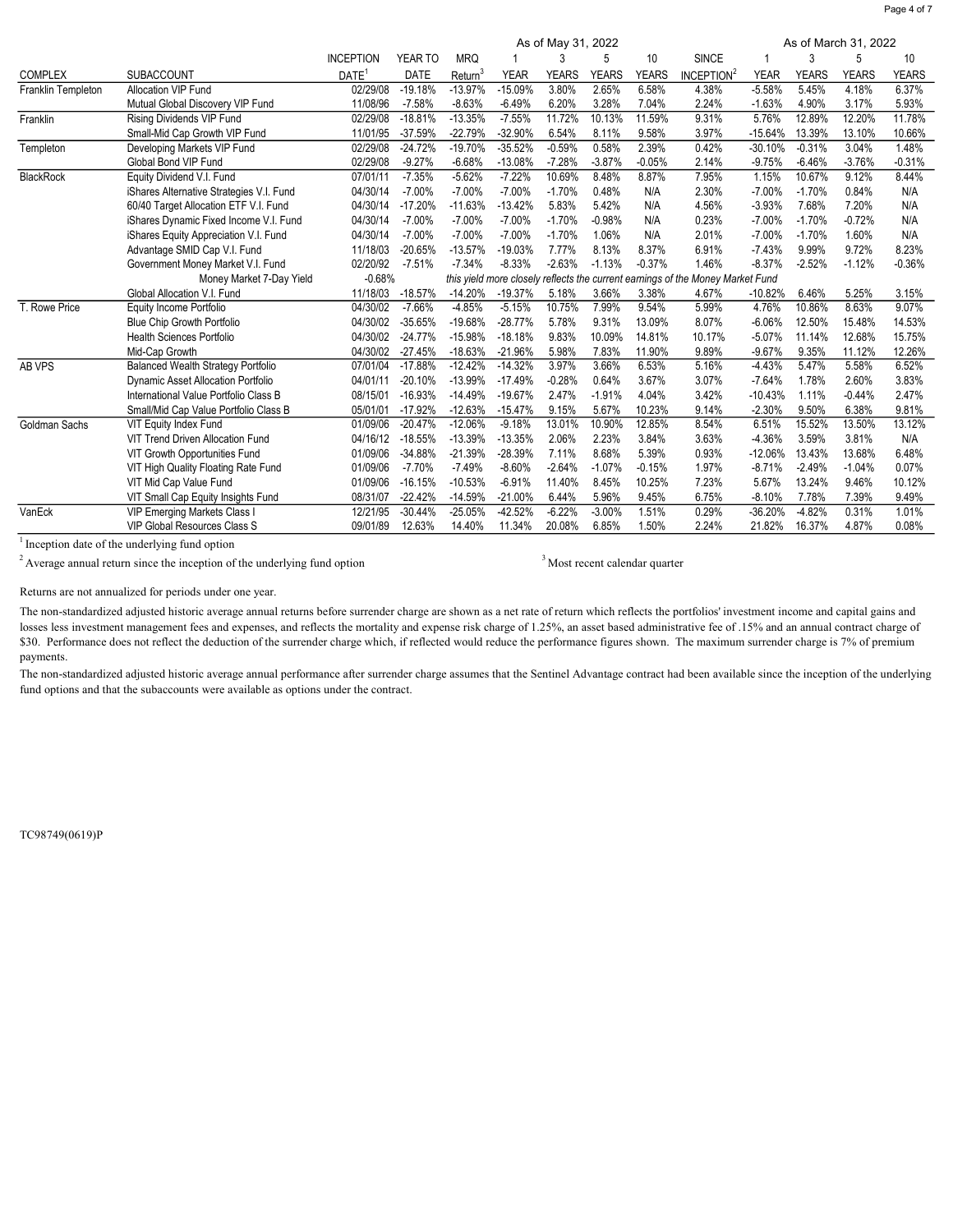|                           |                                           |                   | As of March 31, 2022 |                     |                                                              |              |              |              |                        |             |              |              |          |
|---------------------------|-------------------------------------------|-------------------|----------------------|---------------------|--------------------------------------------------------------|--------------|--------------|--------------|------------------------|-------------|--------------|--------------|----------|
|                           |                                           | <b>INCEPTION</b>  | YEAR TO              | <b>MRQ</b>          |                                                              | 3            | 5            | 10           | <b>SINCE</b>           | 1           | 3            | 5            | 10       |
| <b>COMPLEX</b>            | SUBACCOUNT                                | DATE <sup>1</sup> | <b>DATE</b>          | Return <sup>3</sup> | <b>YEAR</b>                                                  | <b>YEARS</b> | <b>YEARS</b> | <b>YEARS</b> | INCEPTION <sup>2</sup> | <b>YEAR</b> | <b>YEARS</b> | <b>YEARS</b> | YEARS    |
| <b>Franklin Templeton</b> | <b>Allocation VIP Fund</b>                | 02/29/08          | $-19.18%$            | $-13.97%$           | $-15.09%$                                                    | 3.80%        | 2.65%        | 6.58%        | 4.38%                  | $-5.58%$    | 5.45%        | 4.18%        | 6.37%    |
|                           | Mutual Global Discovery VIP Fund          | 11/08/96          | $-7.58%$             | $-8.63%$            | $-6.49%$                                                     | 6.20%        | 3.28%        | 7.04%        | 2.24%                  | $-1.63%$    | 4.90%        | 3.17%        | 5.93%    |
| Franklin                  | Rising Dividends VIP Fund                 | 02/29/08          | $-18.81%$            | $-13.35%$           | $-7.55%$                                                     | 11.72%       | 10.13%       | 11.59%       | 9.31%                  | 5.76%       | 12.89%       | 12.20%       | 11.78%   |
|                           | Small-Mid Cap Growth VIP Fund             | 11/01/95          | $-37.59%$            | $-22.79%$           | $-32.90%$                                                    | 6.54%        | 8.11%        | 9.58%        | 3.97%                  | $-15.64%$   | 13.39%       | 13.10%       | 10.66%   |
| Templeton                 | Developing Markets VIP Fund               | 02/29/08          | $-24.72%$            | $-19.70%$           | $-35.52%$                                                    | $-0.59%$     | 0.58%        | 2.39%        | 0.42%                  | $-30.10%$   | $-0.31%$     | 3.04%        | 1.48%    |
|                           | Global Bond VIP Fund                      | 02/29/08          | $-9.27%$             | $-6.68%$            | $-13.08%$                                                    | $-7.28%$     | $-3.87%$     | $-0.05%$     | 2.14%                  | $-9.75%$    | $-6.46%$     | $-3.76%$     | $-0.31%$ |
| <b>BlackRock</b>          | Equity Dividend V.I. Fund                 | 07/01/11          | $-7.35%$             | $-5.62%$            | $-7.22%$                                                     | 10.69%       | 8.48%        | 8.87%        | 7.95%                  | 1.15%       | 10.67%       | 9.12%        | 8.44%    |
|                           | iShares Alternative Strategies V.I. Fund  | 04/30/14          | $-7.00%$             | $-7.00%$            | $-7.00%$                                                     | $-1.70%$     | 0.48%        | N/A          | 2.30%                  | $-7.00%$    | $-1.70%$     | 0.84%        | N/A      |
|                           | 60/40 Target Allocation ETF V.I. Fund     | 04/30/14          | $-17.20%$            | $-11.63%$           | $-13.42%$                                                    | 5.83%        | 5.42%        | N/A          | 4.56%                  | $-3.93%$    | 7.68%        | 7.20%        | N/A      |
|                           | iShares Dynamic Fixed Income V.I. Fund    | 04/30/14          | $-7.00%$             | $-7.00%$            | $-7.00%$                                                     | $-1.70%$     | $-0.98%$     | N/A          | 0.23%                  | $-7.00%$    | $-1.70%$     | $-0.72%$     | N/A      |
|                           | iShares Equity Appreciation V.I. Fund     | 04/30/14          | $-7.00%$             | $-7.00%$            | $-7.00%$                                                     | $-1.70%$     | 1.06%        | N/A          | 2.01%                  | $-7.00%$    | $-1.70%$     | 1.60%        | N/A      |
|                           | Advantage SMID Cap V.I. Fund              | 11/18/03          | $-20.65%$            | $-13.57%$           | $-19.03%$                                                    | 7.77%        | 8.13%        | 8.37%        | 6.91%                  | $-7.43%$    | 9.99%        | 9.72%        | 8.23%    |
|                           | Government Money Market V.I. Fund         | 02/20/92          | $-7.51%$             | $-7.34%$            | $-8.33%$                                                     | $-2.63%$     | $-1.13%$     | $-0.37%$     | 1.46%                  | $-8.37%$    | $-2.52%$     | $-1.12%$     | $-0.36%$ |
|                           | Money Market 7-Day Yield                  | $-0.68%$          |                      |                     | this yield more closely reflects the current earnings of the |              |              |              | Money Market Fund      |             |              |              |          |
|                           | Global Allocation V.I. Fund               | 11/18/03          | $-18.57%$            | $-14.20%$           | $-19.37%$                                                    | 5.18%        | 3.66%        | 3.38%        | 4.67%                  | $-10.82%$   | 6.46%        | 5.25%        | 3.15%    |
| T. Rowe Price             | Equity Income Portfolio                   | 04/30/02          | $-7.66%$             | $-4.85%$            | $-5.15%$                                                     | 10.75%       | 7.99%        | 9.54%        | 5.99%                  | 4.76%       | 10.86%       | 8.63%        | 9.07%    |
|                           | <b>Blue Chip Growth Portfolio</b>         | 04/30/02          | $-35.65%$            | -19.68%             | $-28.77%$                                                    | 5.78%        | 9.31%        | 13.09%       | 8.07%                  | $-6.06%$    | 12.50%       | 15.48%       | 14.53%   |
|                           | Health Sciences Portfolio                 | 04/30/02          | $-24.77%$            | $-15.98%$           | $-18.18%$                                                    | 9.83%        | 10.09%       | 14.81%       | 10.17%                 | $-5.07%$    | 11.14%       | 12.68%       | 15.75%   |
|                           | Mid-Cap Growth                            | 04/30/02          | $-27.45%$            | $-18.63%$           | $-21.96%$                                                    | 5.98%        | 7.83%        | 11.90%       | 9.89%                  | $-9.67%$    | 9.35%        | 11.12%       | 12.26%   |
| AB VPS                    | <b>Balanced Wealth Strategy Portfolio</b> | 07/01/04          | $-17.88%$            | $-12.42%$           | $-14.32%$                                                    | 3.97%        | 3.66%        | 6.53%        | 5.16%                  | $-4.43%$    | 5.47%        | 5.58%        | 6.52%    |
|                           | Dynamic Asset Allocation Portfolio        | 04/01/11          | $-20.10%$            | $-13.99%$           | $-17.49%$                                                    | $-0.28%$     | 0.64%        | 3.67%        | 3.07%                  | $-7.64%$    | 1.78%        | 2.60%        | 3.83%    |
|                           | International Value Portfolio Class B     | 08/15/01          | $-16.93%$            | $-14.49%$           | $-19.67%$                                                    | 2.47%        | $-1.91%$     | 4.04%        | 3.42%                  | $-10.43%$   | 1.11%        | $-0.44%$     | 2.47%    |
|                           | Small/Mid Cap Value Portfolio Class B     | 05/01/01          | $-17.92%$            | $-12.63%$           | $-15.47%$                                                    | 9.15%        | 5.67%        | 10.23%       | 9.14%                  | $-2.30%$    | 9.50%        | 6.38%        | 9.81%    |
| Goldman Sachs             | VIT Equity Index Fund                     | 01/09/06          | $-20.47%$            | $-12.06%$           | $-9.18%$                                                     | 13.01%       | 10.90%       | 12.85%       | 8.54%                  | 6.51%       | 15.52%       | 13.50%       | 13.12%   |
|                           | VIT Trend Driven Allocation Fund          | 04/16/12          | $-18.55%$            | $-13.39%$           | $-13.35%$                                                    | 2.06%        | 2.23%        | 3.84%        | 3.63%                  | $-4.36%$    | 3.59%        | 3.81%        | N/A      |
|                           | VIT Growth Opportunities Fund             | 01/09/06          | $-34.88%$            | $-21.39%$           | $-28.39%$                                                    | 7.11%        | 8.68%        | 5.39%        | 0.93%                  | $-12.06%$   | 13.43%       | 13.68%       | 6.48%    |
|                           | VIT High Quality Floating Rate Fund       | 01/09/06          | $-7.70%$             | $-7.49%$            | $-8.60%$                                                     | $-2.64%$     | $-1.07%$     | $-0.15%$     | 1.97%                  | $-8.71%$    | $-2.49%$     | $-1.04%$     | 0.07%    |
|                           | VIT Mid Cap Value Fund                    | 01/09/06          | $-16.15%$            | $-10.53%$           | $-6.91%$                                                     | 11.40%       | 8.45%        | 10.25%       | 7.23%                  | 5.67%       | 13.24%       | 9.46%        | 10.12%   |
|                           | VIT Small Cap Equity Insights Fund        | 08/31/07          | $-22.42%$            | $-14.59%$           | $-21.00%$                                                    | 6.44%        | 5.96%        | 9.45%        | 6.75%                  | $-8.10%$    | 7.78%        | 7.39%        | 9.49%    |
| VanEck                    | VIP Emerging Markets Class I              | 12/21/95          | $-30.44%$            | $-25.05%$           | $-42.52%$                                                    | $-6.22%$     | $-3.00%$     | 1.51%        | 0.29%                  | -36.20%     | $-4.82%$     | 0.31%        | 1.01%    |
|                           | <b>VIP Global Resources Class S</b>       | 09/01/89          | 12.63%               | 14.40%              | 11.34%                                                       | 20.08%       | 6.85%        | 1.50%        | 2.24%                  | 21.82%      | 16.37%       | 4.87%        | 0.08%    |

<sup>1</sup> Inception date of the underlying fund option

 $2$  Average annual return since the inception of the underlying fund option  $3$ Most recent calendar quarter

Returns are not annualized for periods under one year.

The non-standardized adjusted historic average annual returns before surrender charge are shown as a net rate of return which reflects the portfolios' investment income and capital gains and losses less investment management fees and expenses, and reflects the mortality and expense risk charge of 1.25%, an asset based administrative fee of 1.5% and an annual contract charge of \$30. Performance does not reflect the deduction of the surrender charge which, if reflected would reduce the performance figures shown. The maximum surrender charge is 7% of premium payments.

The non-standardized adjusted historic average annual performance after surrender charge assumes that the Sentinel Advantage contract had been available since the inception of the underlying fund options and that the subaccounts were available as options under the contract.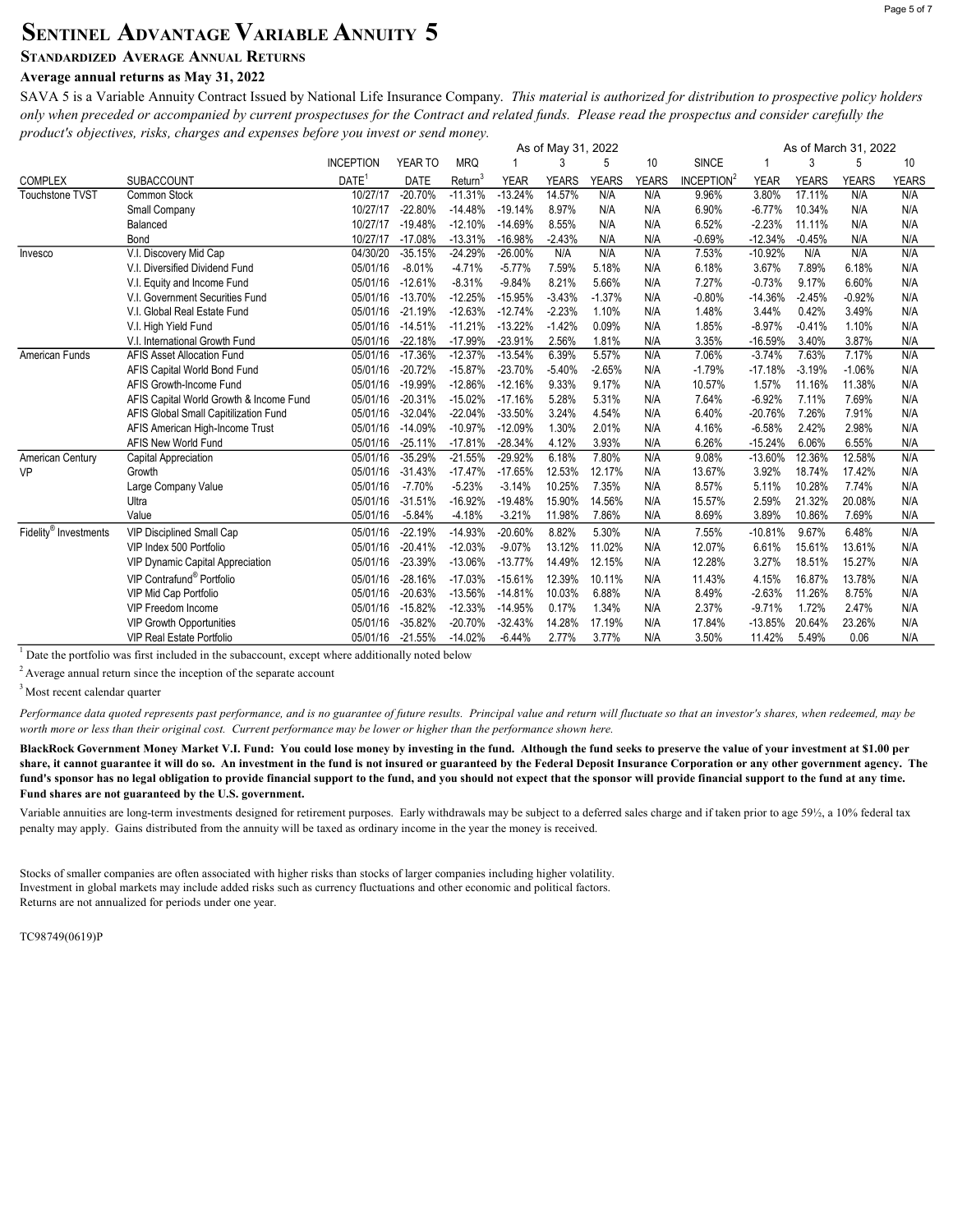## SENTINEL ADVANTAGE VARIABLE ANNUITY 5

### STANDARDIZED AVERAGE ANNUAL RETURNS

### Average annual returns as May 31, 2022

SAVA 5 is a Variable Annuity Contract Issued by National Life Insurance Company. This material is authorized for distribution to prospective policy holders only when preceded or accompanied by current prospectuses for the Contract and related funds. Please read the prospectus and consider carefully the product's objectives, risks, charges and expenses before you invest or send money.

|                        |                                         | As of March 31, 2022<br>As of May 31, 2022 |             |            |             |              |              |       |                        |             |              |              |       |
|------------------------|-----------------------------------------|--------------------------------------------|-------------|------------|-------------|--------------|--------------|-------|------------------------|-------------|--------------|--------------|-------|
|                        |                                         | <b>INCEPTION</b>                           | YEAR TO     | <b>MRQ</b> |             | 3            | 5            | 10    | <b>SINCE</b>           |             | 3            | 5            | 10    |
| <b>COMPLEX</b>         | <b>SUBACCOUNT</b>                       | DATE <sup>1</sup>                          | <b>DATE</b> | Return     | <b>YEAR</b> | <b>YEARS</b> | <b>YEARS</b> | YEARS | INCEPTION <sup>2</sup> | <b>YEAR</b> | <b>YEARS</b> | <b>YEARS</b> | YEARS |
| <b>Touchstone TVST</b> | Common Stock                            | 10/27/17                                   | $-20.70%$   | $-11.31%$  | $-13.24%$   | 14.57%       | N/A          | N/A   | 9.96%                  | 3.80%       | 17.11%       | N/A          | N/A   |
|                        | Small Company                           | 10/27/17                                   | $-22.80%$   | $-14.48%$  | $-19.14%$   | 8.97%        | N/A          | N/A   | 6.90%                  | $-6.77%$    | 10.34%       | N/A          | N/A   |
|                        | Balanced                                | 10/27/17                                   | $-19.48%$   | $-12.10%$  | $-14.69%$   | 8.55%        | N/A          | N/A   | 6.52%                  | $-2.23%$    | 11.11%       | N/A          | N/A   |
|                        | Bond                                    | 10/27/17                                   | $-17.08%$   | $-13.31%$  | $-16.98%$   | $-2.43%$     | N/A          | N/A   | $-0.69%$               | $-12.34%$   | $-0.45%$     | N/A          | N/A   |
| Invesco                | V.I. Discovery Mid Cap                  | 04/30/20                                   | $-35.15%$   | $-24.29%$  | $-26.00%$   | N/A          | N/A          | N/A   | 7.53%                  | $-10.92%$   | N/A          | N/A          | N/A   |
|                        | V.I. Diversified Dividend Fund          | 05/01/16                                   | $-8.01%$    | $-4.71%$   | $-5.77%$    | 7.59%        | 5.18%        | N/A   | 6.18%                  | 3.67%       | 7.89%        | 6.18%        | N/A   |
|                        | V.I. Equity and Income Fund             | 05/01/16                                   | $-12.61%$   | $-8.31%$   | $-9.84%$    | 8.21%        | 5.66%        | N/A   | 7.27%                  | $-0.73%$    | 9.17%        | 6.60%        | N/A   |
|                        | V.I. Government Securities Fund         | 05/01/16                                   | $-13.70%$   | $-12.25%$  | $-15.95%$   | $-3.43%$     | $-1.37%$     | N/A   | $-0.80%$               | $-14.36%$   | $-2.45%$     | $-0.92%$     | N/A   |
|                        | V.I. Global Real Estate Fund            | 05/01/16                                   | $-21.19%$   | $-12.63%$  | $-12.74%$   | $-2.23%$     | 1.10%        | N/A   | 1.48%                  | 3.44%       | 0.42%        | 3.49%        | N/A   |
|                        | V.I. High Yield Fund                    | 05/01/16                                   | $-14.51%$   | $-11.21%$  | $-13.22%$   | $-1.42%$     | 0.09%        | N/A   | 1.85%                  | $-8.97%$    | $-0.41%$     | 1.10%        | N/A   |
|                        | V.I. International Growth Fund          | 05/01/16                                   | $-22.18%$   | $-17.99%$  | $-23.91%$   | 2.56%        | 1.81%        | N/A   | 3.35%                  | $-16.59%$   | 3.40%        | 3.87%        | N/A   |
| American Funds         | <b>AFIS Asset Allocation Fund</b>       | 05/01/16                                   | $-17.36%$   | $-12.37%$  | $-13.54%$   | 6.39%        | 5.57%        | N/A   | 7.06%                  | $-3.74%$    | 7.63%        | 7.17%        | N/A   |
|                        | AFIS Capital World Bond Fund            | 05/01/16                                   | $-20.72%$   | $-15.87%$  | $-23.70%$   | $-5.40%$     | $-2.65%$     | N/A   | $-1.79%$               | $-17.18%$   | $-3.19%$     | $-1.06%$     | N/A   |
|                        | AFIS Growth-Income Fund                 | 05/01/16                                   | $-19.99%$   | $-12.86%$  | $-12.16%$   | 9.33%        | 9.17%        | N/A   | 10.57%                 | 1.57%       | 11.16%       | 11.38%       | N/A   |
|                        | AFIS Capital World Growth & Income Fund | 05/01/16                                   | $-20.31%$   | $-15.02%$  | $-17.16%$   | 5.28%        | 5.31%        | N/A   | 7.64%                  | $-6.92%$    | 7.11%        | 7.69%        | N/A   |
|                        | AFIS Global Small Capitilization Fund   | 05/01/16                                   | $-32.04%$   | $-22.04%$  | $-33.50%$   | 3.24%        | 4.54%        | N/A   | 6.40%                  | $-20.76%$   | 7.26%        | 7.91%        | N/A   |
|                        | AFIS American High-Income Trust         | 05/01/16                                   | $-14.09%$   | $-10.97%$  | $-12.09%$   | 1.30%        | 2.01%        | N/A   | 4.16%                  | $-6.58%$    | 2.42%        | 2.98%        | N/A   |
|                        | AFIS New World Fund                     | 05/01/16                                   | $-25.11%$   | $-17.81%$  | $-28.34%$   | 4.12%        | 3.93%        | N/A   | 6.26%                  | $-15.24%$   | 6.06%        | 6.55%        | N/A   |
| American Century       | Capital Appreciation                    | 05/01/16                                   | $-35.29%$   | $-21.55%$  | $-29.92%$   | 6.18%        | 7.80%        | N/A   | 9.08%                  | $-13.60%$   | 12.36%       | 12.58%       | N/A   |
| <b>VP</b>              | Growth                                  | 05/01/16                                   | $-31.43%$   | $-17.47%$  | $-17.65%$   | 12.53%       | 12.17%       | N/A   | 13.67%                 | 3.92%       | 18.74%       | 17.42%       | N/A   |
|                        | Large Company Value                     | 05/01/16                                   | $-7.70%$    | $-5.23%$   | $-3.14%$    | 10.25%       | 7.35%        | N/A   | 8.57%                  | 5.11%       | 10.28%       | 7.74%        | N/A   |
|                        | Ultra                                   | 05/01/16                                   | $-31.51%$   | $-16.92%$  | $-19.48%$   | 15.90%       | 14.56%       | N/A   | 15.57%                 | 2.59%       | 21.32%       | 20.08%       | N/A   |
|                        | Value                                   | 05/01/16                                   | $-5.84%$    | $-4.18%$   | $-3.21%$    | 11.98%       | 7.86%        | N/A   | 8.69%                  | 3.89%       | 10.86%       | 7.69%        | N/A   |
| Fidelity® Investments  | <b>VIP Disciplined Small Cap</b>        | 05/01/16                                   | $-22.19%$   | $-14.93%$  | $-20.60%$   | 8.82%        | 5.30%        | N/A   | 7.55%                  | $-10.81%$   | 9.67%        | 6.48%        | N/A   |
|                        | VIP Index 500 Portfolio                 | 05/01/16                                   | $-20.41%$   | $-12.03%$  | $-9.07%$    | 13.12%       | 11.02%       | N/A   | 12.07%                 | 6.61%       | 15.61%       | 13.61%       | N/A   |
|                        | <b>VIP Dynamic Capital Appreciation</b> | 05/01/16                                   | $-23.39%$   | $-13.06%$  | $-13.77%$   | 14.49%       | 12.15%       | N/A   | 12.28%                 | 3.27%       | 18.51%       | 15.27%       | N/A   |
|                        | VIP Contrafund <sup>®</sup> Portfolio   | 05/01/16                                   | $-28.16%$   | $-17.03%$  | $-15.61%$   | 12.39%       | 10.11%       | N/A   | 11.43%                 | 4.15%       | 16.87%       | 13.78%       | N/A   |
|                        | <b>VIP Mid Cap Portfolio</b>            | 05/01/16                                   | $-20.63%$   | $-13.56%$  | $-14.81%$   | 10.03%       | 6.88%        | N/A   | 8.49%                  | $-2.63%$    | 11.26%       | 8.75%        | N/A   |
|                        | VIP Freedom Income                      | 05/01/16                                   | $-15.82%$   | $-12.33%$  | $-14.95%$   | 0.17%        | 1.34%        | N/A   | 2.37%                  | $-9.71%$    | 1.72%        | 2.47%        | N/A   |
|                        | <b>VIP Growth Opportunities</b>         | 05/01/16                                   | $-35.82%$   | $-20.70%$  | $-32.43%$   | 14.28%       | 17.19%       | N/A   | 17.84%                 | $-13.85%$   | 20.64%       | 23.26%       | N/A   |
|                        | <b>VIP Real Estate Portfolio</b>        | 05/01/16                                   | $-21.55%$   | $-14.02%$  | $-6.44%$    | 2.77%        | 3.77%        | N/A   | 3.50%                  | 11.42%      | 5.49%        | 0.06         | N/A   |

 $1$  Date the portfolio was first included in the subaccount, except where additionally noted below

 $2$  Average annual return since the inception of the separate account

<sup>3</sup> Most recent calendar quarter

Performance data quoted represents past performance, and is no guarantee of future results. Principal value and return will fluctuate so that an investor's shares, when redeemed, may be worth more or less than their original cost. Current performance may be lower or higher than the performance shown here.

BlackRock Government Money Market V.I. Fund: You could lose money by investing in the fund. Although the fund seeks to preserve the value of your investment at \$1.00 per share, it cannot guarantee it will do so. An investment in the fund is not insured or guaranteed by the Federal Deposit Insurance Corporation or any other government agency. The fund's sponsor has no legal obligation to provide financial support to the fund, and you should not expect that the sponsor will provide financial support to the fund at any time. Fund shares are not guaranteed by the U.S. government.

Variable annuities are long-term investments designed for retirement purposes. Early withdrawals may be subject to a deferred sales charge and if taken prior to age 59½, a 10% federal tax penalty may apply. Gains distributed from the annuity will be taxed as ordinary income in the year the money is received.

Stocks of smaller companies are often associated with higher risks than stocks of larger companies including higher volatility. Investment in global markets may include added risks such as currency fluctuations and other economic and political factors. Returns are not annualized for periods under one year.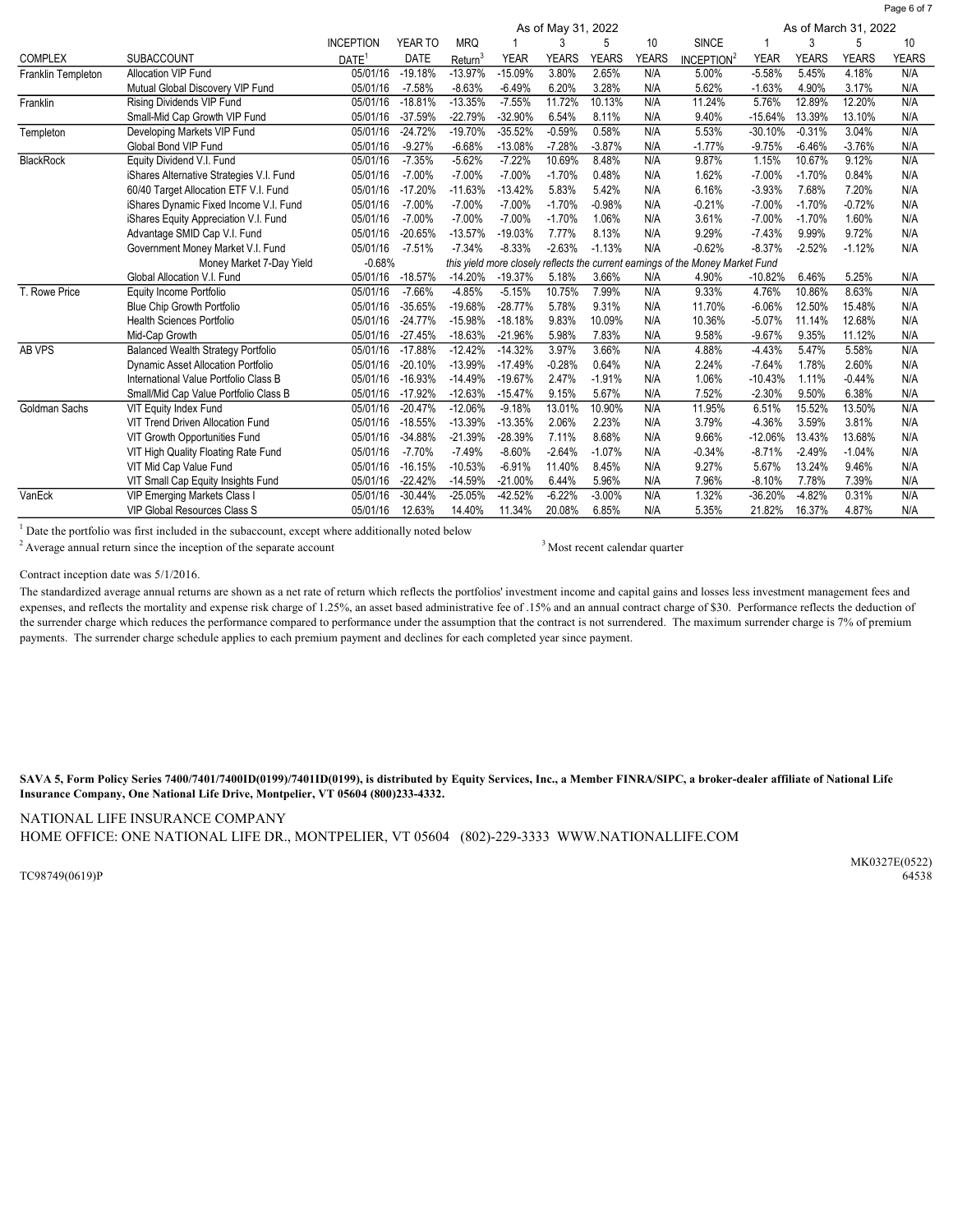|                    |                                           | As of March 31, 2022<br>As of May 31, 2022 |             |            |             |              |              |              |                                                                                |             |              |              |              |
|--------------------|-------------------------------------------|--------------------------------------------|-------------|------------|-------------|--------------|--------------|--------------|--------------------------------------------------------------------------------|-------------|--------------|--------------|--------------|
|                    |                                           | <b>INCEPTION</b>                           | YEAR TO     | <b>MRQ</b> |             | 3            | 5            | 10           | <b>SINCE</b>                                                                   |             | 3            | 5            | 10           |
| <b>COMPLEX</b>     | <b>SUBACCOUNT</b>                         | DATE <sup>1</sup>                          | <b>DATE</b> | Return     | <b>YEAR</b> | <b>YEARS</b> | <b>YEARS</b> | <b>YEARS</b> | INCEPTION <sup>2</sup>                                                         | <b>YEAR</b> | <b>YEARS</b> | <b>YEARS</b> | <b>YEARS</b> |
| Franklin Templeton | <b>Allocation VIP Fund</b>                | 05/01/16                                   | $-19.18%$   | $-13.97%$  | $-15.09%$   | 3.80%        | 2.65%        | N/A          | 5.00%                                                                          | $-5.58%$    | 5.45%        | 4.18%        | N/A          |
|                    | Mutual Global Discovery VIP Fund          | 05/01/16                                   | $-7.58%$    | $-8.63%$   | $-6.49%$    | 6.20%        | 3.28%        | N/A          | 5.62%                                                                          | $-1.63%$    | 4.90%        | 3.17%        | N/A          |
| Franklin           | Rising Dividends VIP Fund                 | 05/01/16                                   | $-18.81%$   | $-13.35%$  | $-7.55%$    | 11.72%       | 10.13%       | N/A          | 11.24%                                                                         | 5.76%       | 12.89%       | 12.20%       | N/A          |
|                    | Small-Mid Cap Growth VIP Fund             | 05/01/16                                   | $-37.59%$   | $-22.79%$  | -32.90%     | 6.54%        | 8.11%        | N/A          | 9.40%                                                                          | $-15.64%$   | 13.39%       | 13.10%       | N/A          |
| Templeton          | Developing Markets VIP Fund               | 05/01/16                                   | $-24.72%$   | $-19.70%$  | $-35.52%$   | $-0.59%$     | 0.58%        | N/A          | 5.53%                                                                          | $-30.10%$   | $-0.31%$     | 3.04%        | N/A          |
|                    | Global Bond VIP Fund                      | 05/01/16                                   | $-9.27%$    | $-6.68%$   | $-13.08%$   | $-7.28%$     | $-3.87%$     | N/A          | $-1.77%$                                                                       | $-9.75%$    | $-6.46%$     | $-3.76%$     | N/A          |
| <b>BlackRock</b>   | Equity Dividend V.I. Fund                 | 05/01/16                                   | $-7.35%$    | $-5.62%$   | $-7.22%$    | 10.69%       | 8.48%        | N/A          | 9.87%                                                                          | 1.15%       | 10.67%       | 9.12%        | N/A          |
|                    | iShares Alternative Strategies V.I. Fund  | 05/01/16                                   | $-7.00%$    | $-7.00%$   | $-7.00%$    | $-1.70%$     | 0.48%        | N/A          | 1.62%                                                                          | $-7.00%$    | $-1.70%$     | 0.84%        | N/A          |
|                    | 60/40 Target Allocation ETF V.I. Fund     | 05/01/16                                   | $-17.20%$   | $-11.63%$  | $-13.42%$   | 5.83%        | 5.42%        | N/A          | 6.16%                                                                          | $-3.93%$    | 7.68%        | 7.20%        | N/A          |
|                    | iShares Dynamic Fixed Income V.I. Fund    | 05/01/16                                   | $-7.00%$    | $-7.00%$   | $-7.00%$    | $-1.70%$     | $-0.98%$     | N/A          | $-0.21%$                                                                       | $-7.00%$    | $-1.70%$     | $-0.72%$     | N/A          |
|                    | iShares Equity Appreciation V.I. Fund     | 05/01/16                                   | $-7.00%$    | $-7.00%$   | $-7.00%$    | $-1.70%$     | 1.06%        | N/A          | 3.61%                                                                          | $-7.00%$    | $-1.70%$     | 1.60%        | N/A          |
|                    | Advantage SMID Cap V.I. Fund              | 05/01/16                                   | $-20.65%$   | $-13.57%$  | $-19.03%$   | 7.77%        | 8.13%        | N/A          | 9.29%                                                                          | $-7.43%$    | 9.99%        | 9.72%        | N/A          |
|                    | Government Money Market V.I. Fund         | 05/01/16                                   | $-7.51%$    | $-7.34%$   | $-8.33%$    | $-2.63%$     | $-1.13%$     | N/A          | $-0.62%$                                                                       | $-8.37%$    | $-2.52%$     | $-1.12%$     | N/A          |
|                    | Money Market 7-Day Yield                  | $-0.68%$                                   |             |            |             |              |              |              | this yield more closely reflects the current earnings of the Money Market Fund |             |              |              |              |
|                    | Global Allocation V.I. Fund               | 05/01/16                                   | $-18.57%$   | $-14.20%$  | $-19.37%$   | 5.18%        | 3.66%        | N/A          | 4.90%                                                                          | $-10.82%$   | 6.46%        | 5.25%        | N/A          |
| T. Rowe Price      | Equity Income Portfolio                   | 05/01/16                                   | $-7.66%$    | $-4.85%$   | $-5.15%$    | 10.75%       | 7.99%        | N/A          | 9.33%                                                                          | 4.76%       | 10.86%       | 8.63%        | N/A          |
|                    | <b>Blue Chip Growth Portfolio</b>         | 05/01/16                                   | $-35.65%$   | $-19.68%$  | $-28.77%$   | 5.78%        | 9.31%        | N/A          | 11.70%                                                                         | $-6.06%$    | 12.50%       | 15.48%       | N/A          |
|                    | <b>Health Sciences Portfolio</b>          | 05/01/16                                   | $-24.77%$   | $-15.98%$  | $-18.18%$   | 9.83%        | 10.09%       | N/A          | 10.36%                                                                         | $-5.07%$    | 11.14%       | 12.68%       | N/A          |
|                    | Mid-Cap Growth                            | 05/01/16                                   | $-27.45%$   | $-18.63%$  | $-21.96%$   | 5.98%        | 7.83%        | N/A          | 9.58%                                                                          | $-9.67%$    | 9.35%        | 11.12%       | N/A          |
| AB VPS             | <b>Balanced Wealth Strategy Portfolio</b> | 05/01/16                                   | $-17.88%$   | $-12.42%$  | $-14.32%$   | 3.97%        | 3.66%        | N/A          | 4.88%                                                                          | $-4.43%$    | 5.47%        | 5.58%        | N/A          |
|                    | Dynamic Asset Allocation Portfolio        | 05/01/16                                   | $-20.10%$   | $-13.99%$  | $-17.49%$   | $-0.28%$     | 0.64%        | N/A          | 2.24%                                                                          | $-7.64%$    | 1.78%        | 2.60%        | N/A          |
|                    | International Value Portfolio Class B     | 05/01/16                                   | $-16.93%$   | $-14.49%$  | $-19.67%$   | 2.47%        | $-1.91%$     | N/A          | 1.06%                                                                          | $-10.43%$   | 1.11%        | $-0.44%$     | N/A          |
|                    | Small/Mid Cap Value Portfolio Class B     | 05/01/16                                   | $-17.92%$   | $-12.63%$  | $-15.47%$   | 9.15%        | 5.67%        | N/A          | 7.52%                                                                          | $-2.30%$    | 9.50%        | 6.38%        | N/A          |
| Goldman Sachs      | VIT Equity Index Fund                     | 05/01/16                                   | $-20.47%$   | $-12.06%$  | $-9.18%$    | 13.01%       | 10.90%       | N/A          | 11.95%                                                                         | 6.51%       | 15.52%       | 13.50%       | N/A          |
|                    | VIT Trend Driven Allocation Fund          | 05/01/16                                   | $-18.55%$   | $-13.39%$  | $-13.35%$   | 2.06%        | 2.23%        | N/A          | 3.79%                                                                          | $-4.36%$    | 3.59%        | 3.81%        | N/A          |
|                    | VIT Growth Opportunities Fund             | 05/01/16                                   | $-34.88%$   | $-21.39%$  | $-28.39%$   | 7.11%        | 8.68%        | N/A          | 9.66%                                                                          | $-12.06%$   | 13.43%       | 13.68%       | N/A          |
|                    | VIT High Quality Floating Rate Fund       | 05/01/16                                   | $-7.70%$    | $-7.49%$   | $-8.60%$    | $-2.64%$     | $-1.07%$     | N/A          | $-0.34%$                                                                       | $-8.71%$    | $-2.49%$     | $-1.04%$     | N/A          |
|                    | VIT Mid Cap Value Fund                    | 05/01/16                                   | $-16.15%$   | $-10.53%$  | $-6.91%$    | 11.40%       | 8.45%        | N/A          | 9.27%                                                                          | 5.67%       | 13.24%       | 9.46%        | N/A          |
|                    | VIT Small Cap Equity Insights Fund        | 05/01/16                                   | $-22.42%$   | $-14.59%$  | $-21.00%$   | 6.44%        | 5.96%        | N/A          | 7.96%                                                                          | $-8.10%$    | 7.78%        | 7.39%        | N/A          |
| VanEck             | VIP Emerging Markets Class I              | 05/01/16                                   | $-30.44%$   | $-25.05%$  | $-42.52%$   | $-6.22%$     | $-3.00%$     | N/A          | 1.32%                                                                          | $-36.20%$   | $-4.82%$     | 0.31%        | N/A          |
|                    | VIP Global Resources Class S              | 05/01/16                                   | 12.63%      | 14.40%     | 11.34%      | 20.08%       | 6.85%        | N/A          | 5.35%                                                                          | 21.82%      | 16.37%       | 4.87%        | N/A          |
|                    |                                           |                                            |             |            |             |              |              |              |                                                                                |             |              |              |              |

 $1$  Date the portfolio was first included in the subaccount, except where additionally noted below

<sup>2</sup> Average annual return since the inception of the separate account

<sup>3</sup> Most recent calendar quarter

Contract inception date was 5/1/2016.

The standardized average annual returns are shown as a net rate of return which reflects the portfolios' investment income and capital gains and losses less investment management fees and expenses, and reflects the mortality and expense risk charge of 1.25%, an asset based administrative fee of .15% and an annual contract charge of \$30. Performance reflects the deduction of the surrender charge which reduces the performance compared to performance under the assumption that the contract is not surrendered. The maximum surrender charge is 7% of premium payments. The surrender charge schedule applies to each premium payment and declines for each completed year since payment.

SAVA 5, Form Policy Series 7400/7401/7400ID(0199)/7401ID(0199), is distributed by Equity Services, Inc., a Member FINRA/SIPC, a broker-dealer affiliate of National Life Insurance Company, One National Life Drive, Montpelier, VT 05604 (800)233-4332.

NATIONAL LIFE INSURANCE COMPANY HOME OFFICE: ONE NATIONAL LIFE DR., MONTPELIER, VT 05604 (802)-229-3333 WWW.NATIONALLIFE.COM

MK0327E(0522) TC98749(0619)P 64538

Page 6 of 7